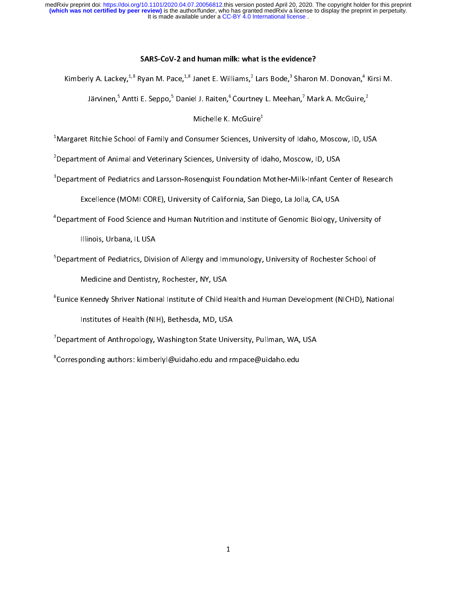It is made available under a CC-BY 4.0 International license. medRxiv preprint doi: [https://doi.org/10.1101/2020.04.07.20056812.](https://doi.org/10.1101/2020.04.07.20056812)this version posted April 20, 2020. The copyright holder for this preprint<br>(which was not certified by peer review) is the author/funder, who has granted me

### SARS-CoV-2 and human milk: what is the evidence?

 $\frac{1}{2}$ 

Kimberly A. Lackey,\*'° Ryan M. Pace,\*'° Janet E. Williams,\* Lars Bode,\* Sharon M. Donovan,\*<br>Järvinen,<sup>5</sup> Antti E. Seppo,<sup>5</sup> Daniel J. Raiten,<sup>6</sup> Courtney L. Meehan,<sup>7</sup> Mark A. McGuire, Järvinen, ̃ Antti E. Seppo, ̃ Daniel J. Raiten, ̃ Courtney L. Meehan, ´ Mark A. McGuire, ̂<br>Michelle K. McGuire<sup>1</sup>

Michelle K. McGuire<sup>+</sup><br>Margaret Ritchie School of Family and Consumer Sciences, Uni<sup>1</sup>  $\overline{a}$ 

 $\sim$ <br> $^2$ Department of Animal and Veterinary Sciences, University of Idaho, Moscow, ID, USA  $^2$ 

Department of Pediatrics and Larsson-Rosenquist Foundation Mother-Milk-Infant Cen<sup>3</sup>Department of Pediatrics and Larsson-Rosenquist Foundation Mother-Milk-Infant Cen

Excellence (MOMI CORE), University of California, San Diego, La Jolla, CA, USA

Excellence (MOMI CORE), UNIVERSITY of California, San Diego, La John, San, San,<br>4 Department of Food Science and Human Nutrition and Institute of Genomic Biology, U

Department of Food Science and Human Nutrition and Institute of Genomic Biology, University of

ina.<br><sup>5</sup>Department of Pediatrics, Divis

Medicine and Dentistry, Rochester, NY, USA

Medicine and Dentistry, Rochester, NY, USA.<br>Eunice Kennedy Shriver National Institute of Child H<sup>6</sup>

Institutes of Health (NIH), Bethesda, MD, USA

institute of Anthropology, Washington State Univer<br>Department of Anthropology, Washington State Unive

Expartment of Anthropology, Washington State University, Pullman, WA, USA<br>8<br>Corresponding authors: kimberlyl@uidaho.edu and rmpace@uidaho.edu Corresponding authors: kimberlyl@uidaho.edu and rmpace@uidaho.edu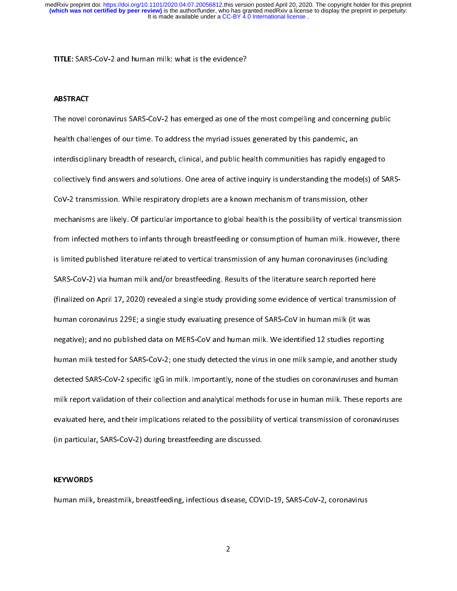TITLE: SARS-CoV-2 and human milk: what is the evidence?

### ABSTRACT

The novel coronavirus SARS-CoV-2 has emerged as one of the most compelling and concerning public<br>health challenges of our time. To address the myriad issues generated by this pandemic, an interdisciplinary breadth of research, clinical, and public health communities has rapidly engaged to collectively find answers and solutions. One area of active inquiry is understanding the mode(s) of SARS-CoV-2 transmission. While respiratory droplets are a known mechanism of transmission, other mechanisms are likely. Of particular importance to global health is the possibility of vertical transmission from infected mothers to infants through breastfeeding or consumption of human milk. However, there is limited published literature related to vertical transmission of any human coronaviruses (including SARS-CoV-2) via human milk and/or breastfeeding. Results of the literature search reported here (finalized on April 17, 2020) revealed a single study providing some evidence of vertical transmission of human coronavirus 229E; a single study evaluating presence of SARS-CoV in human milk (it was negative); and no published data on MERS-CoV and human milk. We identified 12 studies reporting human milk tested for SARS-CoV-2; one study detected the virus in one milk sample, and another study detected SARS-CoV-2 specific IgG in milk. Importantly, none of the studies on coronaviruses and human milk report validation of their collection and analytical methods for use in human milk. These reports are evaluated here, and their implications related to the possibility of vertical transmission of coronaviruses (in particular, SARS-CoV-2) during breastfeeding are discussed. (in particular, SARS-CoV-2) during breastfeeding are discussed.

## l KEYWORDS

human milk, breastmilk, breastfeeding, infectious disease, COVID-19, SARS-CoV-2, coronavirus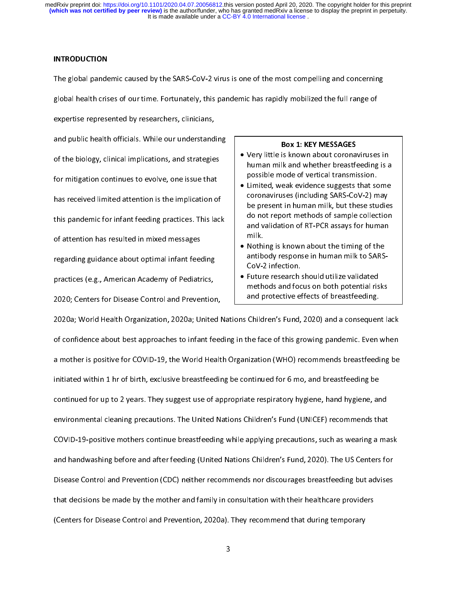#### INTRODUCTION

The global pandemic caused by the SARS-CoV-2 virus is one of the most compelling and concerning<br>global health crises of our time. Fortunately, this pandemic has rapidly mobilized the full range of expertise represented by researchers, clinicians,

and public health officials. While our understanding of the biology, clinical implications, and strategies for mitigation continues to evolve, one issue that has received limited attention is the implication of this pandemic for infant feeding practices. This lack of attention has resulted in mixed messages. regarding guidance about optimal infant feeding practices (e.g., American Academy of Pediatrics, 2020; Centers for Disease Control and Prevention,

- BOX 1: KET MESSAGES<br>• Very little is known about corona human milk and whether breastfeeding is a possible mode of vertical transmission. possible mode of vertical transmission.<br>Limited, weak evidence suggests that some
- Limited, weak evidence suggests that so<br>coronaviruses (including SARS-CoV-2) m coronaviruses (including SARS-CoV-2) may<br>be present in human milk, but these studies coronavirus coronaving Same Several Analysis<br>be present in human milk, but these studie<br>do not report methods of sample collection be present in human milk, but these studies<br>do not report methods of sample collection<br>and validation of RT-PCR assays for human do not represent the to complete contraction<br>and validation of RT-PCR assays for human<br>milk. and valuation of the Persian presentation<br>milk.<br>Nothing is known about the timing of the
- Nothi<br>antib antibody response in human milk to SARS-CoV-2 infection.
- Future research should utilize validated<br>methods and focus on both potential risks methods and focus on both potential risks and protective effects of breastfeeding.

zozo; centers for Disease Control and Prevention, and the controlled the control of the control of breasth or<br>2020a; World Health Organization, 2020a; United Nations Children's Fund, 2020) and a consequen of confidence about best approaches to infant feeding in the face of this growing pandemic. Even when a mother is positive for COVID-19, the World Health Organization (WHO) recommends breastfeeding be initiated within 1 hr of birth, exclusive breastfeeding be continued for 6 mo, and breastfeeding be continued for up to 2 years. They suggest use of appropriate respiratory hygiene, hand hygiene, and environmental cleaning precautions. The United Nations Children's Fund (UNICEF) recommends that COVID-19-positive mothers continue breastfeeding while applying precautions, such as wearing a mask and handwashing before and after feeding (United Nations Children's Fund, 2020). The US Centers for Disease Control and Prevention (CDC) neither recommends nor discourages breastfeeding but advises that decisions be made by the mother and family in consultation with their healthcare providers (Centers for Disease Control and Prevention, 2020a). They recommend that during temporary (Centers for Disease Control and Prevention, 2020a). They recommend that during temporary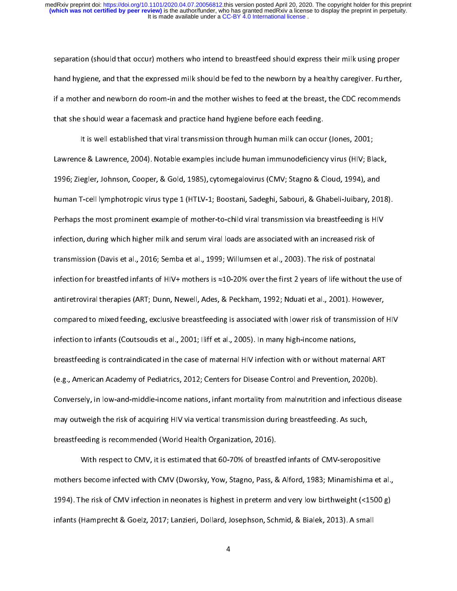separation (should that occur) mothers who intend to breastfeed should express their milk using proper<br>hand hygiene, and that the expressed milk should be fed to the newborn by a healthy caregiver. Further, if a mother and newborn do room-in and the mother wishes to feed at the breast, the CDC recommends that she should wear a facemask and practice hand hygiene before each feeding.

It is well established that viral transmission through human milk can occur (Jones, 2001; Lawrence & Lawrence, 2004). Notable examples include human immunodeficiency virus (HIV; Black, 1996; Ziegler, Johnson, Cooper, & Gold, 1985), cytomegalovirus (CMV; Stagno & Cloud, 1994), and 1996; Ziegler, Johnson, Cooper, & Gold, 1985), cytomegalovirus (CMV; Stagno & Cloud, 1994), and<br>human T-cell lymphotropic virus type 1 (HTLV-1; Boostani, Sadeghi, Sabouri, & Ghabeli-Juibary, 201 Perhaps the most prominent example of mother-to-child viral transmission via breastfeeding is HIV infection, during which higher milk and serum viral loads are associated with an increased risk of transmission (Davis et al., 2016; Semba et al., 1999; Willumsen et al., 2003). The risk of postnatal infection for breastfed infants of HIV+ mothers is  $\approx$  10-20% over the first 2 years of life without the use of antiretroviral therapies (ART; Dunn, Newell, Ades, & Peckham, 1992; Nduati et al., 2001). However, compared to mixed feeding, exclusive breastfeeding is associated with lower risk of transmission of HIV infection to infants (Coutsoudis et al., 2001; lliff et al., 2005). In many high-income nations, breastfeeding is contraindicated in the case of maternal HIV infection with or without maternal ART (e.g., American Academy of Pediatrics, 2012; Centers for Disease Control and Prevention, 2020b). Conversely, in low-and-middle-income nations, infant mortality from malnutrition and infectious disease may outweigh the risk of acquiring HIV via vertical transmission during breastfeeding. As such, breastfeeding is recommended (World Health Organization, 2016).

With respect to CMV, it is estimated that 60-70% of breastfed infants of CMV-seropositive mothers become infected with CMV (Dworsky, Yow, Stagno, Pass, & Alford, 1983; Minamishima et al., 1994). The risk of CMV infection in neonates is highest in preterm and very low birthweight (<1500 g) infants (Hamprecht & Goelz, 2017; Lanzieri, Dollard, Josephson, Schmid, & Bialek, 2013). A small infants (Hamprecht & Goelz, 2017; Lanzieri, Dollard, Josephson, Schmid, & Bialek, 2013). A small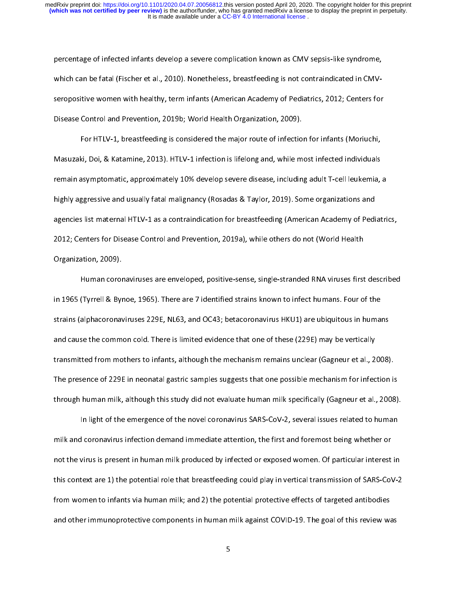percentage of infected infants develop a severe complication known as CMV sepsis-like syndrome,<br>which can be fatal (Fischer et al., 2010). Nonetheless, breastfeeding is not contraindicated in CMVseropositive women with healthy, term infants (American Academy of Pediatrics, 2012; Centers for Disease Control and Prevention, 2019b; World Health Organization, 2009).

For HTLV-1, breastfeeding is considered the major route of infection for infants (Moriuchi, Masuzaki, Doi, & Katamine, 2013). HTLV-1 infection is lifelong and, while most infected individuals remain asymptomatic, approximately 10% develop severe disease, including adult T-cell leukemia, a highly aggressive and usually fatal malignancy (Rosadas & Taylor, 2019). Some organizations and agencies list maternal HTLV-1 as a contraindication for breastfeeding (American Academy of Pediatrics, 2012; Centers for Disease Control and Prevention, 2019a), while others do not (World Health  $2012$ ; Centers for Disease Control and Prevention, 2009), while others do not (World Health Health Health Health Health Health Health Health Health Health Health Health Health Health Health Health Health Health Health He

Organization, 2009).<br>Human coronaviruses are enveloped, positive-sense, single-stranded RNA viruses first described in 1965 (Tyrrell & Bynoe, 1965). There are 7 identified strains known to infect humans. Four of the strains (alphacoronaviruses 229E, NL63, and OC43; betacoronavirus HKU1) are ubiquitous in humans and cause the common cold. There is limited evidence that one of these (229E) may be vertically transmitted from mothers to infants, although the mechanism remains unclear (Gagneur et al., 2008). The presence of 229E in neonatal gastric samples suggests that one possible mechanism for infection is through human milk, although this study did not evaluate human milk specifically (Gagneur et al., 2008).

In light of the emergence of the novel coronavirus SARS-CoV-2, several issues related to human milk and coronavirus infection demand immediate attention, the first and foremost being whether or not the virus is present in human milk produced by infected or exposed women. Of particular interest in this context are 1) the potential role that breastfeeding could play in vertical transmission of SARS-CoV-2 from women to infants via human milk; and 2) the potential protective effects of targeted antibodies and other immunoprotective components in human milk against COVID-19. The goal of this review was and other immunoprotective components in human milk against COVID-19. The goal of this review was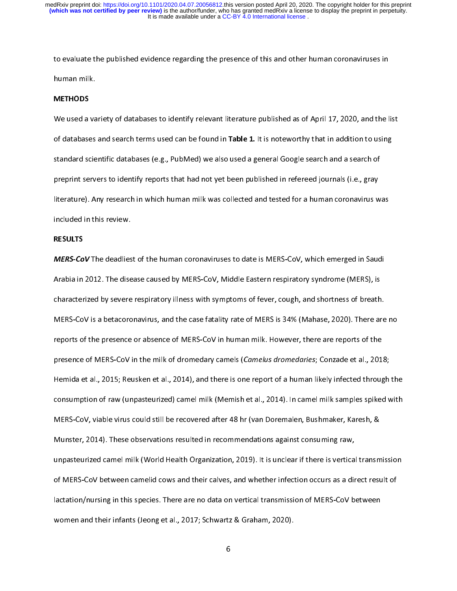to evaluate the published evidence regarding the presence of this and other human coronaviruses in

# METHODS

We used a variety of databases to identify relevant literature published as of April 17, 2020, and the list<br>of databases and search terms used can be found in **Table 1.** It is noteworthy that in addition to using standard scientific databases (e.g., PubMed) we also used a general Google search and a search of preprint servers to identify reports that had not yet been published in refereed journals (i.e., gray literature). Any research in which human milk was collected and tested for a human coronavirus was literature). Any research in which human milk was collected and tested for a human coronavirus was<br>included in this review.

# included in this review. RESULTS

MERS-CoV The deadliest of the human coronaviruses to date is MERS-CoV, which emerged in Saudi<br>Arabia in 2012. The disease caused by MERS-CoV, Middle Eastern respiratory syndrome (MERS), is characterized by severe respiratory illness with symptoms of fever, cough, and shortness of breath. MERS-CoV is a betacoronavirus, and the case fatality rate of MERS is 34% (Mahase, 2020). There are no reports of the presence or absence of MERS-CoV in human milk. However, there are reports of the presence of MERS-CoV in the milk of dromedary camels (Camelus dromedaries; Conzade et al., 2018; Hemida et al., 2015; Reusken et al., 2014), and there is one report of a human likely infected through the consumption of raw (unpasteurized) camel milk (Memish et al., 2014). In camel milk samples spiked with MERS-CoV, viable virus could still be recovered after 48 hr (van Doremalen, Bushmaker, Karesh, & Munster, 2014). These observations resulted in recommendations against consuming raw, unpasteurized camel milk (World Health Organization, 2019). It is unclear if there is vertical transmission of MERS-CoV between camelid cows and their calves, and whether infection occurs as a direct result of lactation/nursing in this species. There are no data on vertical transmission of MERS-CoV between women and their infants (Jeong et al., 2017; Schwartz & Graham, 2020).

women and their infants (Jeong et al., 2017; Schwartz & Graham, 2017; Schwartz & Graham, 2020).<br>Schwartz & Graham, 2020, Schwartz & Graham, 2020; Schwartz & Graham, 2020; Schwartz & Graham, 2020; Schwartz &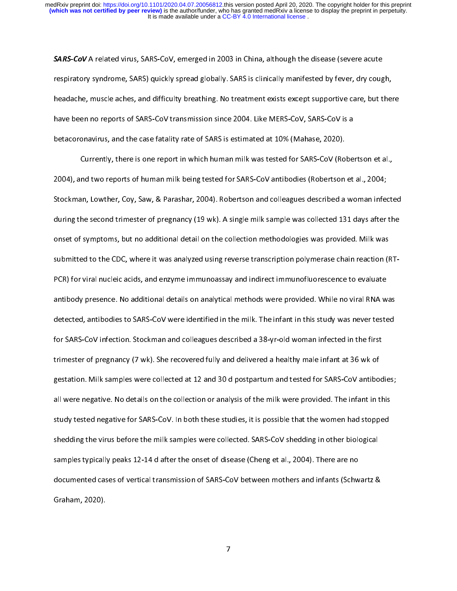**SARS-CoV** A related virus, SARS-CoV, emerged in 2003 in China, although the disease (severe acute<br>respiratory syndrome, SARS) quickly spread globally. SARS is clinically manifested by fever, dry cough, headache, muscle aches, and difficulty breathing. No treatment exists except supportive care, but there have been no reports of SARS-CoV transmission since 2004. Like MERS-CoV, SARS-CoV is a betacoronavirus, and the case fatality rate of SARS is estimated at 10% (Mahase, 2020).

Currently, there is one report in which human milk was tested for SARS-CoV (Robertson et al., 2004), and two reports of human milk being tested for SARS-CoV antibodies (Robertson et al., 2004; Stockman, Lowther, Coy, Saw, & Parashar, 2004). Robertson and colleagues described a woman infected during the second trimester of pregnancy (19 wk). A single milk sample was collected 131 days after the onset of symptoms, but no additional detail on the collection methodologies was provided. Milk was submitted to the CDC, where it was analyzed using reverse transcription polymerase chain reaction (RT-PCR) for viral nucleic acids, and enzyme immunoassay and indirect immunofluorescence to evaluate antibody presence. No additional details on analytical methods were provided. While no viral RNA was detected, antibodies to SARS-CoV were identified in the milk. The infant in this study was never tested for SARS-CoV infection. Stockman and colleagues described a 38-yr-old woman infected in the first trimester of pregnancy (7 wk). She recovered fully and delivered a healthy male infant at 36 wk of gestation. Milk samples were collected at 12 and 30 d postpartum and tested for SARS-CoV antibodies; all were negative. No details on the collection or analysis of the milk were provided. The infant in this study tested negative for SARS-CoV. In both these studies, it is possible that the women had stopped shedding the virus before the milk samples were collected. SARS-CoV shedding in other biological samples typically peaks 12-14 d after the onset of disease (Cheng et al., 2004). There are no documented cases of vertical transmission of SARS-CoV between mothers and infants (Schwartz & documented cases of vertical transmission of SARS-CoV between mothers and infants (Schwartz &<br>Graham, 2020). Graham, 2020).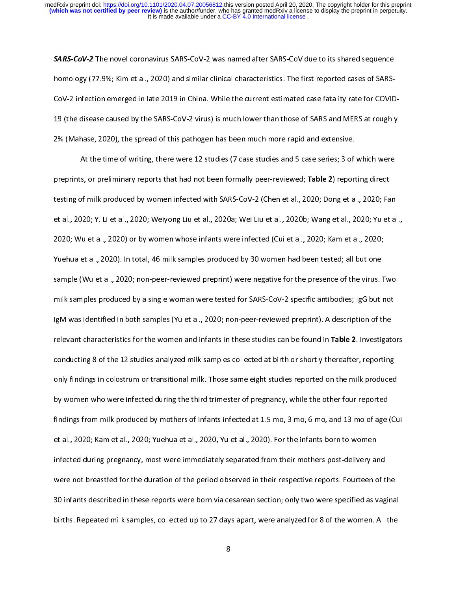**SARS-CoV-2** The novel coronavirus SARS-CoV-2 was named after SARS-CoV due to its shared sequence<br>homology (77.9%; Kim et al., 2020) and similar clinical characteristics. The first reported cases of SARS-CoV-2 infection emerged in late 2019 in China. While the current estimated case fatality rate for COVID-19 (the disease caused by the SARS-CoV-2 virus) is much lower than those of SARS and MERS at roughly 2% (Mahase, 2020), the spread of this pathogen has been much more rapid and extensive.

At the time of writing, there were 12 studies (7 case studies and 5 case series; 3 of which were preprints, or preliminary reports that had not been formally peer-reviewed; Table 2) reporting direct testing of milk produced by women infected with SARS-CoV-2 (Chen et al., 2020; Dong et al., 2020; Fan et al., 2020; Y. Li et al., 2020; Weiyong Liu et al., 2020a; Wei Liu et al., 2020b; Wang et al., 2020; Yu et al., 2020; Wu et al., 2020) or by women whose infants were infected (Cui et al., 2020; Kam et al., 2020; Yuehua et al., 2020). In total, 46 milk samples produced by 30 women had been tested; all but one sample (Wu et al., 2020; non-peer-reviewed preprint) were negative for the presence of the virus. Two milk samples produced by a single woman were tested for SARS-CoV-2 specific antibodies; IgG but not lgM was identified in both samples (Yu et al., 2020; non-peer-reviewed preprint). A description of the relevant characteristics for the women and infants in these studies can be found in Table 2. Investigators conducting 8 of the 12 studies analyzed milk samples collected at birth or shortly thereafter, reporting only findings in colostrum or transitional milk. Those same eight studies reported on the milk produced by women who were infected during the third trimester of pregnancy, while the other four reported findings from milk produced by mothers of infants infected at 1.5 mo, 3 mo, 6 mo, and 13 mo of age (Cui et al., 2020; Kam et al., 2020; Yuehua et al., 2020, Yu et al., 2020). For the infants born to women infected during pregnancy, most were immediately separated from their mothers post-delivery and were not breastfed for the duration of the period observed in their respective reports. Fourteen of the 30 infants described in these reports were born via cesarean section; only two were specified as vaginal births. Repeated milk samples, collected up to 27 days apart, were analyzed for 8 of the women. All the births. Repeated milk samples, collected up to 27 days apart, were analyzed for 8 of the women. All the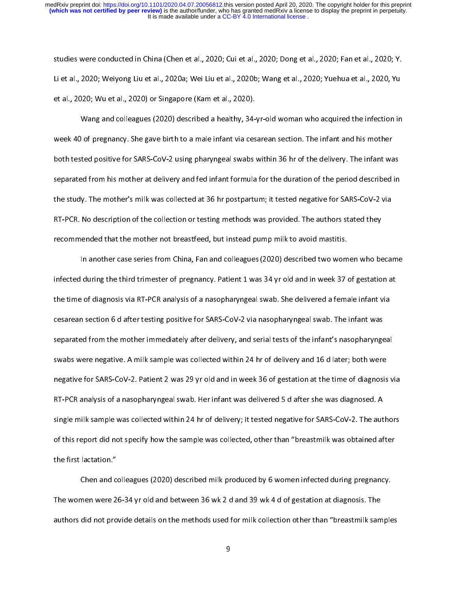studies were conducted in China (Chen et al., 2020; Cui et al., 2020; Dong et al., 2020; Fan et al., 2020; Y.<br>Li et al., 2020; Weiyong Liu et al., 2020a; Wei Liu et al., 2020b; Wang et al., 2020; Yuehua et al., 2020, Yu et al., 2020; Wu et al., 2020) or Singapore (Kam et al., 2020).

Wang and colleagues (2020) described a healthy, 34-yr-old woman who acquired the infection in week 40 of pregnancy. She gave birth to a male infant via cesarean section. The infant and his mother both tested positive for SARS-CoV-2 using pharyngeal swabs within 36 hr of the delivery. The infant was separated from his mother at delivery and fed infant formula for the duration of the period described in the study. The mother's milk was collected at 36 hr postpartum; it tested negative for SARS-CoV-2 via RT-PCR. No description of the collection or testing methods was provided. The authors stated they recommended that the mother not breastfeed, but instead pump milk to avoid mastitis.

In another case series from China, Fan and colleagues (2020) described two women who became In another case series from China, Fan and colleagues (2020) described two women who became the time of diagnosis via RT-PCR analysis of a nasopharyngeal swab. She delivered a female infant via cesarean section 6 d after testing positive for SARS-CoV-2 via nasopharyngeal swab. The infant was separated from the mother immediately after delivery, and serial tests of the infant's nasopharyngeal swabs were negative. A milk sample was collected within 24 hr of delivery and 16 d later; both were negative for SARS-CoV-2. Patient 2 was 29 yr old and in week 36 of gestation at the time of diagnosis via RT-PCR analysis of a nasopharyngeal swab. Her infant was delivered 5 d after she was diagnosed. A single milk sample was collected within 24 hr of delivery; it tested negative for SARS-CoV-2. The authors of this report did not specify how the sample was collected, other than "breastmilk was obtained after of this report did not specify how the sample was collected, other than "breastmilk" breastmilk after<br>the first lactation." the first lactation."<br>Chen and colleagues (2020) described milk produced by 6 women infected during pregnancy.

The women were 26-34 yr old and between 36 wk 2 d and 39 wk 4 d of gestation at diagnosis. The authors did not provide details on the methods used for milk collection other than "breastmilk samples authors did not provide details on the methods used for milk collection other than "breastmilk samples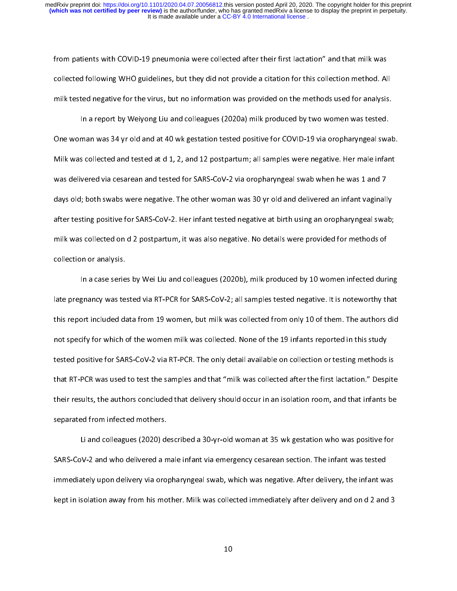from patients with COVID-19 pneumonia were collected after their first lactation" and that milk was<br>collected following WHO guidelines, but they did not provide a citation for this collection method. All milk tested negative for the virus, but no information was provided on the methods used for analysis.

In a report by Weiyong Liu and colleagues (2020a) milk produced by two women was tested. One woman was 34 yr old and at 40 wk gestation tested positive for COVID-19 via oropharyngeal swab. Milk was collected and tested at d 1, 2, and 12 postpartum; all samples were negative. Her male infant was delivered via cesarean and tested for SARS-CoV-2 via oropharyngeal swab when he was 1 and 7 days old; both swabs were negative. The other woman was 30 yr old and delivered an infant vaginally after testing positive for SARS-CoV-2. Her infant tested negative at birth using an oropharyngeal swab; milk was collected on d 2 postpartum, it was also negative. No details were provided for methods of  $\mathcal{L}$  postpartum, it was also negative. No details were provided for methods of methods of methods of methods of methods of methods of methods of methods of methods of methods of methods of methods of methods of method collection or analysis.<br>In a case series by Wei Liu and colleagues (2020b), milk produced by 10 women infected during

late pregnancy was tested via RT-PCR for SARS-CoV-2; all samples tested negative. It is noteworthy that this report included data from 19 women, but milk was collected from only 10 of them. The authors did not specify for which of the women milk was collected. None of the 19 infants reported in this study tested positive for SARS-CoV-2 via RT-PCR. The only detail available on collection or testing methods is that RT-PCR was used to test the samples and that "milk was collected after the first lactation." Despite their results, the authors concluded that delivery should occur in an isolation room, and that infants be separated from infected mothers.

Li and colleagues (2020) described a 30-yr-old woman at 35 wk gestation who was positive for SARS-CoV-2 and who delivered a male infant via emergency cesarean section. The infant was tested immediately upon delivery via oropharyngeal swab, which was negative. After delivery, the infant was kept in isolation away from his mother. Milk was collected immediately after delivery and on d 2 and 3 kept in isolation away from his mother. Milk was collected in mother. Milk was collected in the 2 and 3 and 3 and 3 and 3 and 3 and 3 and 3 and 3 and 3 and 3 and 3 and 3 and 3 and 3 and 3 and 3 and 3 and 3 and 3 and 3 and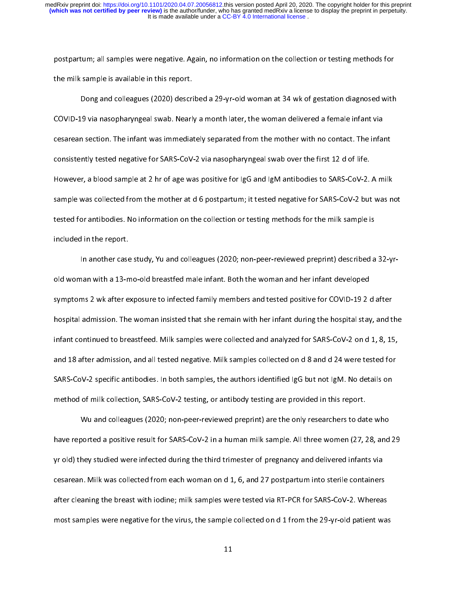postpartum; all samples were negative. Again, no information on the collection or testing methods for<br>the milk sample is available in this report.

Dong and colleagues (2020) described a 29-yr-old woman at 34 wk of gestation diagnosed with COVID-19 via nasopharyngeal swab. Nearly a month later, the woman delivered a female infant via cesarean section. The infant was immediately separated from the mother with no contact. The infant consistently tested negative for SARS-CoV-2 via nasopharyngeal swab over the first 12 d of life. However, a blood sample at 2 hr of age was positive for IgG and IgM antibodies to SARS-CoV-2. A milk sample was collected from the mother at d 6 postpartum; it tested negative for SARS-CoV-2 but was not tested for antibodies. No information on the collection or testing methods for the milk sample is tested for antibodies. No information on the collection or testing methods for the milk sample is<br>included in the report. included in the report.<br>In another case study, Yu and colleagues (2020; non-peer-reviewed preprint) described a 32-yr-

old woman with a 13-mo-old breastfed male infant. Both the woman and her infant developed symptoms 2 wk after exposure to infected family members and tested positive for COVID-19 2 d after hospital admission. The woman insisted that she remain with her infant during the hospital stay, and the infant continued to breastfeed. Milk samples were collected and analyzed for SARS-CoV-2 on d 1, 8, 15, and 18 after admission, and all tested negative. Milk samples collected on d 8 and d 24 were tested for SARS-CoV-2 specific antibodies. In both samples, the authors identified IgG but not IgM. No details on method of milk collection, SARS-CoV-2 testing, or antibody testing are provided in this report.

Wu and colleagues (2020; non-peer-reviewed preprint) are the only researchers to date who have reported a positive result for SARS-CoV-2 in a human milk sample. All three women (27, 28, and 29 yr old) they studied were infected during the third trimester of pregnancy and delivered infants via cesarean. Milk was collected from each woman on d 1, 6, and 27 postpartum into sterile containers after cleaning the breast with iodine; milk samples were tested via RT-PCR for SARS-CoV-2. Whereas most samples were negative for the virus, the sample collected on d 1 from the 29-yr-old patient was most samples were negative for the virus, the samples were negative for the 29-yr-old patient was the 29-yr-ol<br>The samples was the 29-yr-old patient was the 29-yr-old patient was the 29-yr-old patient was the 29-yr-old pa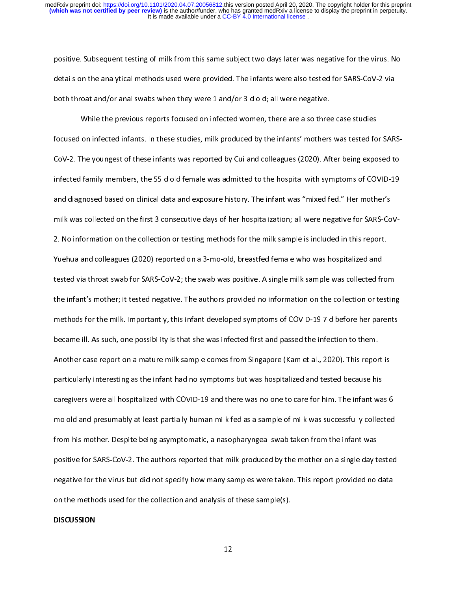positive. Subsequent testing of milk from this same subject two days later was negative for the virus. No<br>details on the analytical methods used were provided. The infants were also tested for SARS-CoV-2 via both throat and/or anal swabs when they were 1 and/or 3 d old; all were negative.

While the previous reports focused on infected women, there are also three case studies focused on infected infants. In these studies, milk produced by the infants' mothers was tested for SARS-CoV-2. The youngest of these infants was reported by Cui and colleagues (2020). After being exposed to infected family members, the 55 d old female was admitted to the hospital with symptoms of COVID-19 and diagnosed based on clinical data and exposure history. The infant was "mixed fed." Her mother's milk was collected on the first 3 consecutive days of her hospitalization; all were negative for SARS-CoV-2. No information on the collection or testing methods for the milk sample is included in this report. Yuehua and colleagues (2020) reported on a 3-mo-old, breastfed female who was hospitalized and tested via throat swab for SARS-CoV-2; the swab was positive. A single milk sample was collected from the infant's mother; it tested negative. The authors provided no information on the collection or testing methods for the milk. Importantly, this infant developed symptoms of COVID-197d before her parents became ill. As such, one possibility is that she was infected first and passed the infection to them. Another case report on a mature milk sample comes from Singapore (Kam et al., 2020). This report is particularly interesting as the infant had no symptoms but was hospitalized and tested because his caregivers were all hospitalized with COVID-19 and there was no one to care for him. The infant was 6 mo old and presumably at least partially human milk fed as a sample of milk was successfully collected from his mother. Despite being asymptomatic, a nasopharyngeal swab taken from the infant was positive for SARS-CoV-2. The authors reported that milk produced by the mother on a single day tested negative for the virus but did not specify how many samples were taken. This report provided no data on the methods used for the collection and analysis of these sample(s). on the methods used for the methods used for the collection and analysis of the collection and analysis of the<br>International collection and analysis of the collection and analysis of the collection and analysis of the col

#### **DISCUSSION**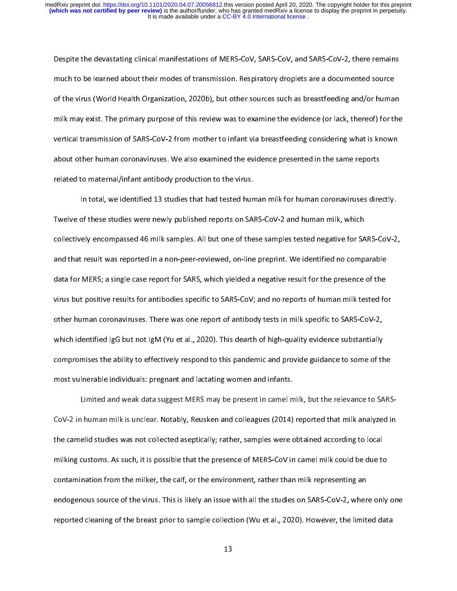Despite the devastating clinical manifestations of MERS-CoV, SARS-CoV, and SARS-CoV-2, there remains<br>much to be learned about their modes of transmission. Respiratory droplets are a documented source of the virus (World Health Organization, 2020b), but other sources such as breastfeeding and/or human milk may exist. The primary purpose of this review was to examine the evidence (or lack, thereof) for the vertical transmission of SARS-CoV-2 from mother to infant via breastfeeding considering what is known about other human coronaviruses. We also examined the evidence presented in the same reports related to maternal/infant antibody production to the virus.

In total, we identified 13 studies that had tested human milk for human coronaviruses directly. Twelve of these studies were newly published reports on SARS-CoV-2 and human milk, which collectively encompassed 46 milk samples. All but one of these samples tested negative for SARS-CoV-2, and that result was reported in a non-peer-reviewed, on-line preprint. We identified no comparable data for MERS; a single case report for SARS, which yielded a negative result for the presence of the virus but positive results for antibodies specific to SARS-CoV; and no reports of human milk tested for other human coronaviruses. There was one report of antibody tests in milk specific to SARS-CoV-2, which identified IgG but not IgM (Yu et al., 2020). This dearth of high-quality evidence substantially compromises the ability to effectively respond to this pandemic and provide guidance to some of the most vulnerable individuals: pregnant and lactating women and infants.

Limited and weak data suggest MERS may be present in camel milk, but the relevance to SARS-CoV-2 in human milk is unclear. Notably, Reusken and colleagues (2014) reported that milk analyzed in the camelid studies was not collected aseptically; rather, samples were obtained according to local milking customs. As such, it is possible that the presence of MERS-CoV in camel milk could be due to contamination from the milker, the calf, or the environment, rather than milk representing an endogenous source of the virus. This is likely an issue with all the studies on SARS-CoV-2, where only one reported cleaning of the breast prior to sample collection (Wu et al., 2020). However, the limited data reported cleaning of the breast prior to sample collection (Wu et al., 2020). However, the limited data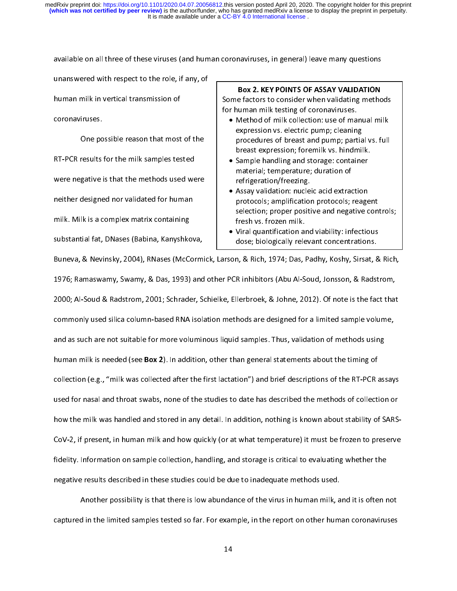available on all three of these viruses (and human coronaviruses, in general) leave many questions

human milk in vertical transmission of coron aviruses.

One possible reason that most of the RT-PCR results for the milk samples tested were negative is that the methods used were neither designed nor validated for human milk. Milk is a complex matrix containing substantial fat, DNases (Babina, Kanyshkova,

# Box 2. KEY POINTS OF ASSAY VALIDATION<br>Some factors to consider when validating methods

Some factors to consider the consideration given be<br>for human milk testing of coronaviruses.<br>• Method of milk collection: use of manual milk

- Method of milk collection: use of manuscription<br>expression vs. electric pump; cleaning Method of milk concentions is committed milk<br>expression vs. electric pump; cleaning<br>procedures of breast and pump; partial vs. full expression variation pump; cleaning<br>procedures of breast and pump; partia<br>breast expression; foremilk vs. hindmil breast expression; foremilk vs. hindmilk.
	- Sample handling and storage: container<br>material; temperature; duration of material; temperature; duration of<br>refrigeration/freezing. material; temperature; authorition<br>refrigeration/freezing.<br>Assay validation: nucleic acid extrac
	- Assay validation: nucle<br>protocols; amplification protocols; amplification protocols; reagent selection; proper positive and negative controls;<br>fresh vs. frozen milk. selection; propertion; propertion; propertion; propertion; propertion; propertion; propertion; propertion; pro<br>Since controls; propertion; propertion; propertion; propertion; propertion; propertion; propertion; propertion<br>
	- Viral quantification ar<br>dose; biologically rele dose; biologically relevant concentrations.

substantial fater and the term of the term of the term of the bandwidth of the Bandwidth Buneva, & Nevinsky, 2004), RNases (McCormick, Larson, & Rich, 1974; Das, Padhy, Koshy, Sirsat, & 1976; Ramaswamy, Swamy, & Das, 1993) and other PCR inhibitors (Abu Al-Soud, Jonsson, & Radstrom, 2000; Al-Soud & Radstrom, 2001; Schrader, Schielke, Ellerbroek, & Johne, 2012). Of note is the fact that commonly used silica column-based RNA isolation methods are designed for a limited sample volume, and as such are not suitable for more voluminous liquid samples. Thus, validation of methods using human milk is needed (see **Box 2**). In addition, other than general statements about the timing of collection (e.g., "milk was collected after the first lactation") and brief descriptions of the RT-PCR assays used for nasal and throat swabs, none of the studies to date has described the methods of collection or how the milk was handled and stored in any detail. In addition, nothing is known about stability of SARS-CoV-2, if present, in human milk and how quickly (or at what temperature) it must be frozen to preserve fidelity. Information on sample collection, handling, and storage is critical to evaluating whether the negative results described in these studies could be due to inadequate methods used.

Another possibility is that there is low abundance of the virus in human milk, and it is often not captured in the limited samples tested so far. For example, in the report on other human coronaviruses captured in the limited samples tested so far. For example, in the report on other human coronaviruses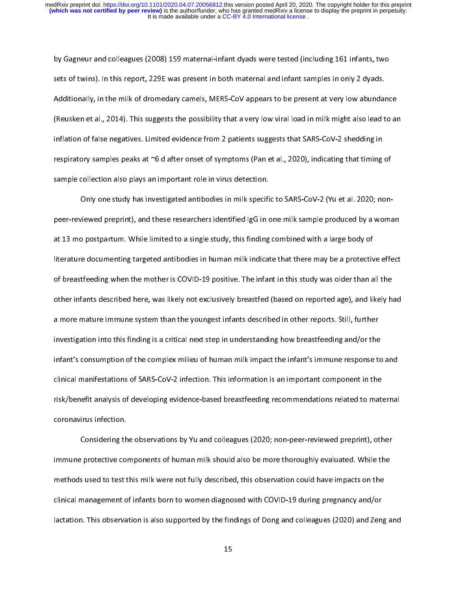by Gagneur and colleagues (2008) 159 maternal-infant dyads were tested (including 161 infants, two<br>sets of twins). In this report, 229E was present in both maternal and infant samples in only 2 dyads. Additionally, in the milk of dromedary camels, MERS-CoV appears to be present at very low abundance (Reusken et al., 2014). This suggests the possibility that a very low viral load in milk might also lead to an inflation of false negatives. Limited evidence from 2 patients suggests that SARS-CoV-2 shedding in respiratory samples peaks at  $\infty$ 6 d after onset of symptoms (Pan et al., 2020), indicating that timing of sample collection also plays an important role in virus detection.

Only one study has investigated antibodies in milk specific to SARS-CoV-2 (Yu et al. 2020; nonpeer-reviewed preprint), and these researchers identified IgG in one milk sample produced by a woman at 13 mo postpartum. While limited to a single study, this finding combined with a large body of literature documenting targeted antibodies in human milk indicate that there may be a protective effect of breastfeeding when the mother is COVID-19 positive. The infant in this study was older than all the other infants described here, was likely not exclusively breastfed (based on reported age), and likely had a more mature immune system than the youngest infants described in other reports. Still, further investigation into this finding is a critical next step in understanding how breastfeeding and/or the infant's consumption of the complex milieu of human milk impact the infant's immune response to and clinical manifestations of SARS-CoV-2 infection. This information is an important component in the risk/benefit analysis of developing evidence-based breastfeeding recommendations related to maternal risk-benefit analysis of developing evidence-based breastfeeding recommendations related to maternalistic relations relations relations relations relations relations relations relations relations relations relations relati coronavirus infection.<br>Considering the observations by Yu and colleagues (2020; non-peer-reviewed preprint), other

immune protective components of human milk should also be more thoroughly evaluated. While the methods used to test this milk were not fully described, this observation could have impacts on the clinical management of infants born to women diagnosed with COVID-19 during pregnancy and/or lactation. This observation is also supported by the findings of Dong and colleagues (2020) and Zeng and  $\mathcal{L}_{\text{max}}$  observation is also supported by the findings of  $\mathcal{L}_{\text{max}}$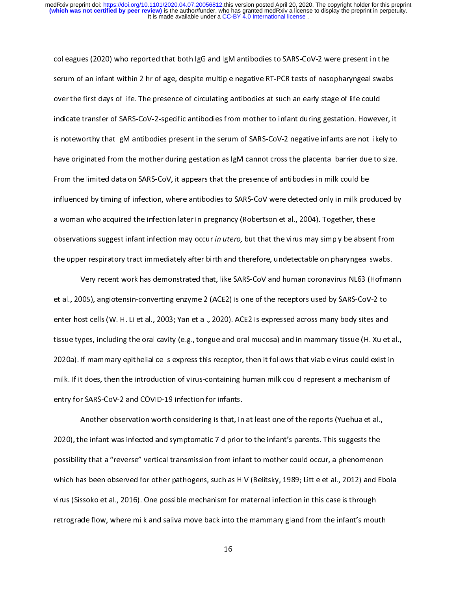colleagues (2020) who reported that both IgG and IgM antibodies to SARS-CoV-2 were present in the over the first days of life. The presence of circulating antibodies at such an early stage of life could indicate transfer of SARS-CoV-2-specific antibodies from mother to infant during gestation. However, it is noteworthy that IgM antibodies present in the serum of SARS-CoV-2 negative infants are not likely to have originated from the mother during gestation as IgM cannot cross the placental barrier due to size. From the limited data on SARS-CoV, it appears that the presence of antibodies in milk could be influenced by timing of infection, where antibodies to SARS-CoV were detected only in milk produced by a woman who acquired the infection later in pregnancy (Robertson et al., 2004). Together, these observations suggest infant infection may occur in utero, but that the virus may simply be absent from the upper respiratory tract immediately after birth and therefore, undetectable on pharyngeal swabs.

Very recent work has demonstrated that, like SARS-CoV and human coronavirus NL63 (Hofmann et al., 2005), angiotensin-converting enzyme 2 (ACE2) is one of the receptors used by SARS-CoV-2 to enter host cells (W. H. Li et al., 2003; Yan et al., 2020). ACE2 is expressed across many body sites and tissue types, including the oral cavity (e.g., tongue and oral mucosa) and in mammary tissue (H. Xu et al., 2020a). If mammary epithelial cells express this receptor, then it follows that viable virus could exist in milk. If it does, then the introduction of virus-containing human milk could represent a mechanism of entry for SARS-CoV-2 and COVID-19 infection for infants.

Another observation worth considering is that, in at least one of the reports (Yuehua et al., 2020), the infant was infected and symptomatic 7 d prior to the infant's parents. This suggests the possibility that a "reverse" vertical transmission from infant to mother could occur, a phenomenon which has been observed for other pathogens, such as HIV (Belitsky, 1989; Little et al., 2012) and Ebola virus (Sissoko et al., 2016). One possible mechanism for maternal infection in this case is through retrograde flow, where milk and saliva move back into the mammary gland from the infant's mouth retrograde flow, where milk and saliva move back into the mammary gland from the infant's mouth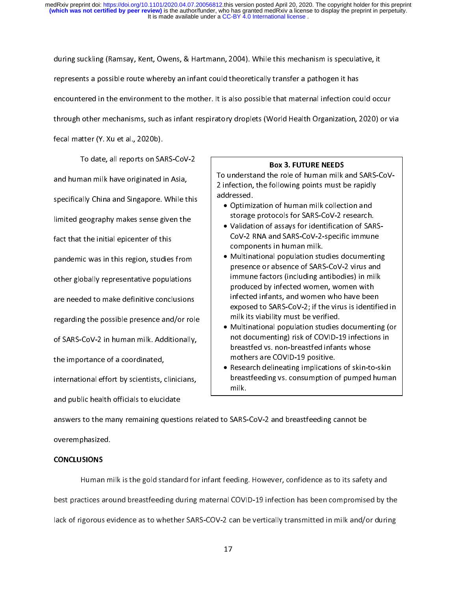during suckling (Ramsay, Kent, Owens, & Hartmann, 2004). While this mechanism is speculative, it<br>represents a possible route whereby an infant could theoretically transfer a pathogen it has encountered in the environment to the mother. It is also possible that maternal infection could occur through other mechanisms, such as infant respiratory droplets (World Health Organization, 2020) or via

fecal matter (Y. Xu et al., 2020b).

To date, all reports on SARS-CoV-2 and human milk have originated in Asia, specifically China and Singapore. While this limited geography makes sense given the fact that the initial epicenter of this pandemic was in this region, studies from other globally representative populations are needed to make definitive conclusions regarding the possible presence and/or role of SARS-CoV-2 in human milk. Additionally, the importance of a coordinated, international effort by scientists, clinicians, and public health officials to elucidate

**Box 3. FUTURE NEEDS**<br>To understand the role of human milk and SARS-CoVaddressed. 2 infection, the following points addressed.<br>• Optimization of human milk collection and

- Optimiz<br>storage storage protocols for SARS-CoV-2 research.
	- Validation of assays for identification of SAR<br>CoV-2 RNA and SARS-CoV-2-specific immune components in human milk. components in human milk.<br>• Multinational population studies documentin
	- components in human milk.<br>Multinational population stu<br>presence or absence of SARS presence or absence of SARS-CoV-2 virus and<br>immune factors (including antibodies) in milk immune factors (including antibodies) in milk<br>produced by infected women, women with immune factors (including antibodies), in milki<br>produced by infected women, women with<br>infected infants, and women who have been produced infants, and women who have been<br>infected infants, and women who have been<br>exposed to SARS-CoV-2; if the virus is identi exposed to SARS-CoV-2; if the virus is identified in milk its viability must be verified. exposed to the verified.<br>• Multinational population studies documenting (or
	- milk interprese of Multinational population studies<br>Inot documenting) risk of COVID-1 not documenting) risk of COVID-19 infections in<br>breastfed vs. non-breastfed infants whose breastfed vs. non-breastfed infants whose mothers are COVID-19 positive. mothers are COVID-19 positive.<br>Research delineating implications of skin-to
- Research delineating implication<br>breastfeeding vs. consumption c breastfeeding vs. consumption of pumped human<br>milk. breastfeed variables variables variables variables variables variables variables variables variables variables milk.

answers to the many remaining questions related to SARS-CoV-2 and breastfeeding cannot be  $\begin{array}{cc} \text{over } \text{empty} \end{array}$  remaining to  $\begin{array}{cc} \text{over } \text{empty} \end{array}$ 

# overemphasized. CONCLUSIONS

Human milk is the gold standard for infant feeding. However, confidence as to its safety and<br>best practices around breastfeeding during maternal COVID-19 infection has been compromised by the lack of rigorous evidence as to whether SARS-COV-2 can be vertically transmitted in milk and/or during lack of rigorous evidence as to whether SARS-COV-2 can be vertically transmitted in milk and/or during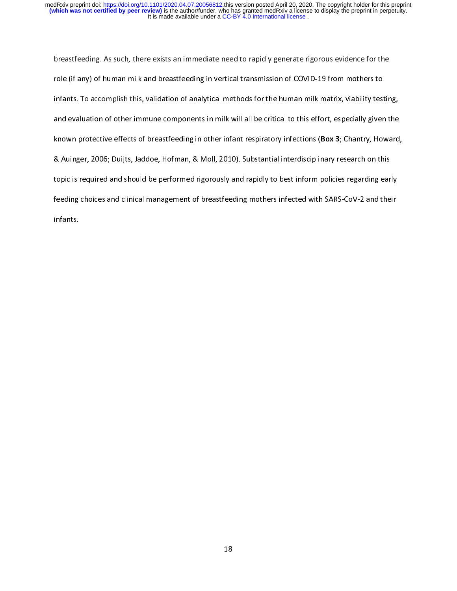It is made available under a CC-BY 4.0 International license. medRxiv preprint doi: [https://doi.org/10.1101/2020.04.07.20056812.](https://doi.org/10.1101/2020.04.07.20056812)this version posted April 20, 2020. The copyright holder for this preprint<br>(which was not certified by peer review) is the author/funder, who has granted me

breastfeeding. As such, there exists an immediate need to rapidly generate rigorous evidence for the<br>role (if any) of human milk and breastfeeding in vertical transmission of COVID-19 from mothers to infants. To accomplish this, validation of analytical methods for the human milk matrix, viability testing, and evaluation of other immune components in milk will all be critical to this effort, especially given the known protective effects of breastfeeding in other infant respiratory infections (Box 3; Chantry, Howard, & Auinger, 2006; Duijts, Jaddoe, Hofman, & Moll, 2010). Substantial interdisciplinary research on this topic is required and should be performed rigorously and rapidly to best inform policies regarding early feeding choices and clinical management of breastfeeding mothers infected with SARS-CoV-2 and their feeding choices and clinical management of breastfeeding mothers infected with SARS-CoV-2 and their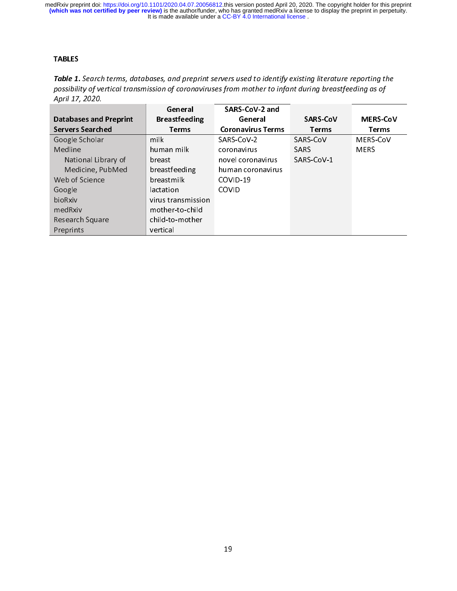It is made available under a CC-BY 4.0 International license. medRxiv preprint doi: [https://doi.org/10.1101/2020.04.07.20056812.](https://doi.org/10.1101/2020.04.07.20056812)this version posted April 20, 2020. The copyright holder for this preprint<br>(which was not certified by peer review) is the author/funder, who has granted me

### TABLES

Table 1. Search terms, databases, and preprint servers used to identify existing iterature reporting the<br>nossibility of vertical transmission of coronaviruses from mother to infant during breastfeeding as of possibility of vertical transmission of coronaviruses from mother to infant during breastfeeding as of April 17, 2020.

|                               | General              | SARS-CoV-2 and           |                 |                 |
|-------------------------------|----------------------|--------------------------|-----------------|-----------------|
| <b>Databases and Preprint</b> | <b>Breastfeeding</b> | General                  | <b>SARS-CoV</b> | <b>MERS-CoV</b> |
| <b>Servers Searched</b>       | Terms                | <b>Coronavirus Terms</b> | Terms           | Terms           |
| Google Scholar                | milk                 | SARS-CoV-2               | SARS-CoV        | MERS-CoV        |
| Medline                       | human milk           | coronavirus              | <b>SARS</b>     | <b>MERS</b>     |
| National Library of           | breast               | novel coronavirus        | SARS CoV-1      |                 |
| Medicine, PubMed              | breastfeeding        | human coronavirus        |                 |                 |
| Web of Science                | breastmilk           | COVID-19                 |                 |                 |
| Google                        | lactation            | <b>COVID</b>             |                 |                 |
| bioRxiv                       | virus transmission   |                          |                 |                 |
| medRxiv                       | mother-to-child      |                          |                 |                 |
| Research Square               | child-to-mother      |                          |                 |                 |
| Preprints                     | vertical             |                          |                 |                 |
|                               |                      |                          |                 |                 |
|                               |                      |                          |                 |                 |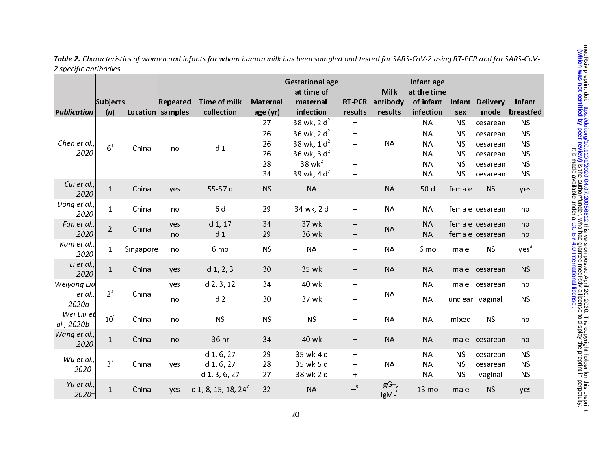|                           | Subjects        |           | Repeated                | <b>Time of milk</b> | <b>Maternal</b> | <b>Gestational age</b><br>at time of<br>maternal | <b>RT-PCR</b>                | <b>Milk</b><br>antibody   | Infant age<br>at the time<br>of infant | Infant                 | <b>Delivery</b> | Infant                 |
|---------------------------|-----------------|-----------|-------------------------|---------------------|-----------------|--------------------------------------------------|------------------------------|---------------------------|----------------------------------------|------------------------|-----------------|------------------------|
| <b>Publication</b>        | (n)             |           | <b>Location samples</b> | collection          | age (yr)        | infection                                        | results                      | results                   | infection                              | sex                    | mode            | breastfed              |
|                           |                 |           |                         |                     | 27              | 38 wk, 2 $d^2$                                   |                              |                           | <b>NA</b>                              | <b>NS</b>              | cesarean        | <b>NS</b>              |
|                           |                 |           |                         |                     | 26              | 36 wk, 2 $d^2$                                   | -                            |                           | <b>NA</b>                              | <b>NS</b>              | cesarean        | <b>NS</b>              |
| Chen et al.,<br>2020      | 6 <sup>1</sup>  | China     | no                      | d <sub>1</sub>      | 26              | 38 wk, $1 d2$                                    | $\qquad \qquad \blacksquare$ | <b>NA</b>                 | <b>NA</b>                              | <b>NS</b>              | cesarean        | <b>NS</b>              |
|                           |                 |           |                         |                     | 26<br>28        | 36 wk, 3 $d^2$<br>$38$ wk <sup>2</sup>           |                              |                           | <b>NA</b><br><b>NA</b>                 | <b>NS</b><br><b>NS</b> | cesarean        | <b>NS</b>              |
|                           |                 |           |                         |                     | 34              | 39 wk, 4 $d^2$                                   | -                            |                           | <b>NA</b>                              | <b>NS</b>              | cesarean        | <b>NS</b><br><b>NS</b> |
| Cui et al.,               |                 |           |                         |                     |                 |                                                  |                              |                           |                                        |                        | cesarean        |                        |
| 2020                      | $\mathbf{1}$    | China     | yes                     | 55-57 d             | <b>NS</b>       | <b>NA</b>                                        | -                            | <b>NA</b>                 | 50 d                                   | female                 | <b>NS</b>       | yes                    |
| Dong et al.,              | $\mathbf{1}$    | China     |                         | 6 d                 | 29              |                                                  |                              | <b>NA</b>                 | <b>NA</b>                              |                        | female cesarean |                        |
| 2020                      |                 |           | no                      |                     |                 | 34 wk, 2 d                                       |                              |                           |                                        |                        |                 | no                     |
| Fan et al.,               | $\overline{2}$  | China     | yes                     | $d_1$ , 17          | 34              | 37 wk                                            | -                            | <b>NA</b>                 | <b>NA</b>                              |                        | female cesarean | no                     |
| 2020                      |                 |           | no                      | d <sub>1</sub>      | 29              | 36 wk                                            |                              |                           | <b>NA</b>                              |                        | female cesarean | no                     |
| Kam et al.,<br>2020       | $\mathbf{1}$    | Singapore | no                      | 6 mo                | <b>NS</b>       | <b>NA</b>                                        |                              | <b>NA</b>                 | 6 mo                                   | male                   | <b>NS</b>       | yes <sup>3</sup>       |
| Li et al.,<br>2020        | $\mathbf{1}$    | China     | yes                     | $d_1$ , 2, 3        | 30              | 35 wk                                            | -                            | <b>NA</b>                 | <b>NA</b>                              |                        | male cesarean   | <b>NS</b>              |
| Weiyong Liu               |                 |           | yes                     | $d$ 2, 3, 12        | 34              | 40 wk                                            | -                            |                           | <b>NA</b>                              | male                   | cesarean        | no                     |
| et al.,<br>2020at         | 2 <sup>4</sup>  | China     | no                      | d <sub>2</sub>      | 30              | 37 wk                                            |                              | <b>NA</b>                 | <b>NA</b>                              |                        | unclear vaginal | <b>NS</b>              |
| Wei Liu et<br>al., 2020b+ | 10 <sup>5</sup> | China     | no                      | <b>NS</b>           | <b>NS</b>       | <b>NS</b>                                        |                              | <b>NA</b>                 | <b>NA</b>                              | mixed                  | <b>NS</b>       | no                     |
| Wang et al.,<br>2020      | $\mathbf{1}$    | China     | no                      | 36 hr               | 34              | 40 wk                                            | -                            | <b>NA</b>                 | <b>NA</b>                              | male                   | cesarean        | no                     |
|                           |                 |           |                         | $d$ 1, 6, 27        | 29              | 35 wk 4 d                                        | $\overline{\phantom{m}}$     |                           | <b>NA</b>                              | <b>NS</b>              | cesarean        | <b>NS</b>              |
| Wu et al.,                | 3 <sup>6</sup>  | China     | yes                     | d 1, 6, 27          | 28              | 35 wk 5 d                                        | $\qquad \qquad \blacksquare$ | <b>NA</b>                 | <b>NA</b>                              | <b>NS</b>              | cesarean        | <b>NS</b>              |
| 2020+                     |                 |           |                         | $d$ 1, 3, 6, 27     | 27              | 38 wk 2 d                                        | ٠.                           |                           | <b>NA</b>                              | <b>NS</b>              | vaginal         | <b>NS</b>              |
| Yu et al.,<br>2020+       | $\mathbf{1}$    | China     | yes                     | d 1, 8, 15, 18, 24' | 32              | <b>NA</b>                                        | $-8$                         | IgG+,<br>lgM <sup>9</sup> | 13 mo                                  | male                   | <b>NS</b>       | yes                    |

Table 2. Characteristics of women and infants for whom human milk has been sampled and tested for SARS-CoV-2 using RT-PCR and for SARS-CoV-2 specific antibodies.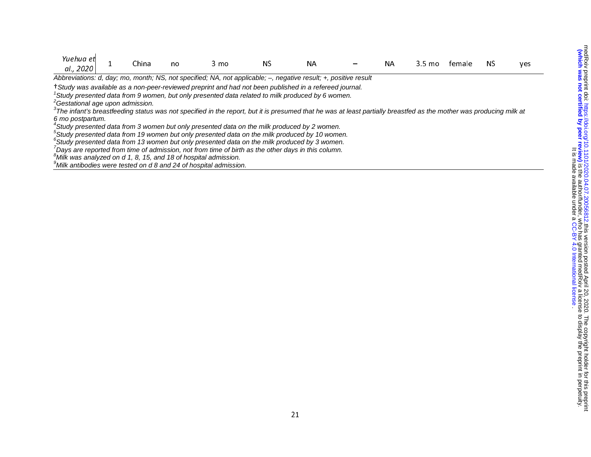| Yuehua et                                                                                                                                                              |  | China | no | 3 mo | ΝS | NА |  | NΑ | 3.5 mo | temale | NS. | yes |
|------------------------------------------------------------------------------------------------------------------------------------------------------------------------|--|-------|----|------|----|----|--|----|--------|--------|-----|-----|
| al., 2020                                                                                                                                                              |  |       |    |      |    |    |  |    |        |        |     |     |
| Abbreviations: d, day; mo, month; NS, not specified; NA, not applicable; -, negative result; +, positive result                                                        |  |       |    |      |    |    |  |    |        |        |     |     |
| †Study was available as a non-peer-reviewed preprint and had not been published in a refereed journal.                                                                 |  |       |    |      |    |    |  |    |        |        |     |     |
| <sup>1</sup> Study presented data from 9 women, but only presented data related to milk produced by 6 women.                                                           |  |       |    |      |    |    |  |    |        |        |     |     |
| <sup>2</sup> Gestational age upon admission.                                                                                                                           |  |       |    |      |    |    |  |    |        |        |     |     |
| $3$ The infant's breastfeeding status was not specified in the report, but it is presumed that he was at least partially breastfed as the mother was producing milk at |  |       |    |      |    |    |  |    |        |        |     |     |
| 6 mo postpartum.                                                                                                                                                       |  |       |    |      |    |    |  |    |        |        |     |     |
| <sup>4</sup> Study presented data from 3 women but only presented data on the milk produced by 2 women.                                                                |  |       |    |      |    |    |  |    |        |        |     |     |
| <sup>5</sup> Study presented data from 19 women but only presented data on the milk produced by 10 women.                                                              |  |       |    |      |    |    |  |    |        |        |     |     |
| ${}^6$ Study presented data from 13 women but only presented data on the milk produced by 3 women.                                                                     |  |       |    |      |    |    |  |    |        |        |     |     |
| $^{\prime}$ Days are reported from time of admission, not from time of birth as the other days in this column.                                                         |  |       |    |      |    |    |  |    |        |        |     |     |
| ${}^8$ Milk was analyzed on d 1, 8, 15, and 18 of hospital admission.                                                                                                  |  |       |    |      |    |    |  |    |        |        |     |     |
| <sup>9</sup> Milk antibodies were tested on d 8 and 24 of hospital admission.                                                                                          |  |       |    |      |    |    |  |    |        |        |     |     |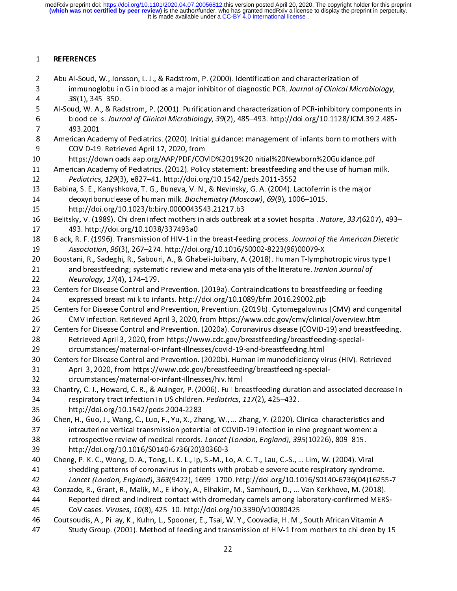$\frac{1}{2}$ 2 Abu Al-Soud,<br>3 immunog<br>4 38(1), 34<br>5 Al-Soud, W. A<br>6 blood cel<br>7 493.2001 2 Abu Al-Soud, W. A., & Radstrom, P. (2001). Purification and characterization of PCR-inhibitory couples and Al-Soud, W. A., & Radstrom, P. (2001). Purification and characterization of PCR-inhibitory couples and characteri 38(1), 345–350.<br>
Al-Soud, W. A., & Radstrom, P. (2001). Purification and characterization of PCR-inhibitory components i<br>
blood cells. Journal of Clinical Microbiology, 39(2), 485–493. http://doi.org/10.1128/JCM.39.2.485-4 Al-Soud, W. A., & Rac<br>6 blood cells. Journ<br>7 493.2001<br>8 American Academy c<br>9 COVID-19. Retrie<br>1 American Academy c 5 blood cells. Journal of Clinical Microbiology, 39(2), 485–493. http://doi.org/10.1128/JCM.39.2.485–493.2001<br>
493.2001<br>
American Academy of Pediatrics. (2020). Initial guidance: management of infants born to mothers with<br> blood cells. Journal of Clinical Microbiology, 39(2), 485–493. http://doi.org/10.1128/JCM.39.2.485–493. 2001<br>
8 American Academy of Pediatrics. (2020). Initial guidance: management of infants born to mothers with<br>
6 COVID-8 American Acad<br>
9 COVID-19<br>
1 https://dc<br>
1 American Acad<br>
2 *Pediatrics*,<br>
3 Babina, S. E., K<br>
4 deoxyribo 8 COVID-19. Retrieved April 17, 2020, from<br>
8 https://downloads.aap.org/AAP/PDF/COVID%2019%20Initial%20Newborn%20Guidance.pdf<br>
8 American Academy of Pediatrics. (2012). Policy statement: breastfeeding and the use of human 9 https://downloads.aap.org/AAP/PDF/COV<br>
9 https://downloads.aap.org/AAP/PDF/COV<br>
9 American Academy of Pediatrics. (2012). Polic<br>
9 Pediatrics, 129(3), e827–41. http://doi.org<br>
8 Babina, S. E., Kanyshkova, T. G., Buneva, 11 American Academy of Pediatrics. (2012). Policy statement: breastfeeding and the use of human n<br>
12 Pediatrics, 129(3), e827–41. http://doi.org/10.1542/peds.2011-3552<br>
13 Babina, S. E., Kanyshkova, T. G., Buneva, V. N., 12 *Pediatrics, 129*(3), e827–41. http://doi.org/10.1542/peds.2011-3552<br>
13 Babina, S. E., Kanyshkova, T. G., Buneva, V. N., & Nevinsky, G. A. (2004). Lactoferrin is the major<br>
14 deoxyribonuclease of human milk. *Biochemi* 12 Pediatrics, 129(3), e827–41. http://doi.org/10.1942/peds.2011-3352<br>
13 Babina, S. E., Kanyshkova, T. G., Buneva, V. N., & Nevinsky, G. A. (2004). La<br>
14 deoxyribonuclease of human milk. *Biochemistry (Moscow), 69*(9), 1 deoxyribonuclease of human milk. Biochemistry (Moscow), 69(9), 1006-1015.<br>
15 http://doi.org/10.1023/b:biry.0000043543.21217.b3<br>
16 Belitsky, V. (1989). Children infect mothers in aids outbreak at a soviet hospital. Nature 14 deoxyribonuclease of human mink. Biochemistry (Moscow), 09(9), 1000–1013.<br>
15 http://doi.org/10.1023/b:biry.0000043543.21217.b3<br>
16 Belitsky, V. (1989). Children infect mothers in aids outbreak at a soviet hospital. Na<br> 16 Belitsky, V. (1989). Children infect mothers in aids outbread<br>17 493. http://doi.org/10.1038/337493a0<br>18 Black, R. F. (1996). Transmission of HIV-1 in the breast-fee<br>19 Association, 96(3), 267–274. http://doi.org/10.101 16 Belitsky, V. (1989). Children infect mothers in aids outbreak at a soviet hospital. Muture, 337(6207), 453–493.<br>
16 Black, R. F. (1996). Transmission of HIV-1 in the breast-feeding process. Journal of the American Diete 18 Black, R. F. (1996). Transmission of HIV-1 in<br>19 Association, 96(3), 267–274. http://doi.<br>20 Boostani, R., Sadeghi, R., Sabouri, A., & Gha<br>21 and breastfeeding; systematic review a<br>22 Neurology, 17(4), 174–179.<br>23 Cente Example 18 Black, R. F. (1996). Transmission of HIV-1 in the breast-feeding process. Journal of the American Dietetic<br>19 Association, 96(3), 267–274. http://doi.org/10.1016/S0002-8223(96)00079-X<br>20 Boostani, R., Sadeghi, R Association, 96(3), 267–274. http://doi.org/10.1016/30002-8223(36)00079-X-<br>
20 Boostani, R., Sadeghi, R., Sabouri, A., & Ghabeli-Juibary, A. (2018). Human T-lymph<br>
21 and breastfeeding; systematic review and meta-analysis 21 and breastfeeding; systematic review and meta-analysis of the literature. Iranian Journal of<br>22 and breastfeeding; systematic review and meta-analysis of the literature. Iranian Journal of<br>22 Centers for Disease Control 21 and breastfeeding; systematic review and meta-analysis of the literature. Iramian Journal of<br>22 *Neurology, 17*(4), 174–179.<br>23 Centers for Disease Control and Prevention. (2019a). Contraindications to breastfeeding or 22 Neurology, 27(4), 174–179.<br>
23 Centers for Disease Control and<br>
24 expressed breast milk to inf.<br>
25 Centers for Disease Control and<br>
26 CMV infection. Retrieved Ap<br>
27 Centers for Disease Control and<br>
28 Retrieved Apri 24 expressed breast milk to infants. http://doi.org/10.1089/bfm.2016.29002.pjb<br>25 Centers for Disease Control and Prevention, Prevention. (2019b). Cytomegalovirus (CMV) and conge<br>26 CMV infection. Retrieved April 3, 2020, 25 Centers for Disease Control and Prevention, Prevention. (2019b). Cytomegalovirus<br>26 CMV infection. Retrieved April 3, 2020, from https://www.cdc.gov/cmv/clinica<br>27 Centers for Disease Control and Prevention. (2020a). Co 26 CMV infection. Retrieved April 3, 2020, from https://www.cdc.gov/cmv/clinical/overview.html<br>27 Centers for Disease Control and Prevention. (2020a). Coronavirus disease (COVID-19) and breastfeeding.<br>28 Retrieved April 3, Centers for Disease Control and Prevention. (2020a). Coronavirus disease (COVID-19) and breastfee<br>
28 Retrieved April 3, 2020, from https://www.cdc.gov/breastfeeding/breastfeeding-special-<br>
29 circumstances/maternal-or-inf 28 Retrieved April 3, 2020, from https://www.cdc.gov/breastfeeding/breastfeeding-special-<br>29 Retrieved April 3, 2020, from https://www.cdc.gov/breastfeeding/breastfeeding-special-<br>29 Centers for Disease Control and Prevent 35 http://doi.org/10.1542/peds.2004-2283 29 Centers for Disease Control and Prevention. (2020b). Human immunodeficiency vi<br>
21 April 3, 2020, from https://www.cdc.gov/breastfeeding/breastfeeding-special<br>
22 circumstances/maternal-or-infant-illnesses/hiv.html<br>
23 31 April 3, 2020, from https://www.cdc.gov/breastfeeding/breastfeeding-special-<br>32 circumstances/maternal-or-infant-illnesses/hiv.html<br>33 Chantry, C. J., Howard, C. R., & Auinger, P. (2006). Full breastfeeding duration and 38 retrospective review of medical records. Lancet (London, England), 395(10226), 809–815. 23 Chantry, C. J., Howard, C. R., & Auinger, P. (2006). Full bre<br>
134 respiratory tract infection in US children. *Pediatrics*, 1<br>
35 http://doi.org/10.1542/peds.2004-2283<br>
36 Chen, H., Guo, J., Wang, C., Luo, F., Yu, X., 34 respiratory tract infection in US children. *Pediatrics*, 117(2), 425–432.<br>35 http://doi.org/10.1542/peds.2004-2283<br>36 Chen, H., Guo, J., Wang, C., Luo, F., Yu, X., Zhang, W., ... Zhang, Y. (2020). Clinical characterist 1941<br>35 http://doi.org/10.1542/peds.2004-2283<br>36 Chen, H., Guo, J., Wang, C., Luo, F., Yu, X., Zhang, W., ... Zhang, Y. (2020). C<br>37 intrauterine vertical transmission potential of COVID-19 infection in ni<br>38 retrospective 36 Chen, H., Guo, J., Wang, C., Luo, F., Yu, X., Zha<br>37 intrauterine vertical transmission potent<br>38 retrospective review of medical records.<br>39 http://doi.org/10.1016/S0140-6736(20)3<br>40 Cheng, P. K. C., Wong, D. A., Tong, intrauterine vertical transmission potential of COVID-19 infection in nine pregnant women: a<br>
38 retrospective review of medical records. *Lancet (London, England), 395*(10226), 809–815.<br>
39 http://doi.org/10.1016/S0140-67 138 retrospective review of medical records. *Lancet (London, England), 395*(10226), 809–815.<br>
139 http://doi.org/10.1016/S0140-6736(20)30360-3<br>
140 Cheng, P. K. C., Wong, D. A., Tong, L. K. L., Ip, S.-M., Lo, A. C. T., La 28 retrospective review of medical records. *Lancet (London, England), 355*(10220), 809–815.<br>
39 http://doi.org/10.1016/S0140-6736(20)30360-3<br>
40 Cheng, P. K. C., Wong, D. A., Tong, L. K. L., Ip, S.-M., Lo, A. C. T., Lau, 40 Cheng, P. K. C., Wong, D. A., Tong, L. K. L., Ip, S.-M., Let shedding patterns of coronavirus in patients with<br>42 *Lancet (London, England), 363*(9422), 1699–1700<br>43 Conzade, R., Grant, R., Malik, M., Elkholy, A., Elhak shedding patterns of coronavirus in patients with probable severe acute respiratory syndron<br>42 Lancet (London, England), 363(9422), 1699–1700. http://doi.org/10.1016/S0140-6736(04)16<br>43 Conzade, R., Grant, R., Malik, M., E Lancet (London, England), 363(9422), 1699–1700. http://doi.org/10.1016/S0140-6736(04)1625!<br>Conzade, R., Grant, R., Malik, M., Elkholy, A., Elhakim, M., Samhouri, D., ... Van Kerkhove, M. (2018).<br>Reported direct and indirec 24 Lancet (London, England), 363(9422), 1699–1700. http://doi.org/10.1016/30140-6736(04)16233-7<br>
43 Conzade, R., Grant, R., Malik, M., Elkholy, A., Elhakim, M., Samhouri, D., ... Van Kerkhove, M. (2018).<br>
44 Reported direc 144 Reported direct and indirect contact with dromedary camels among laboratory-confirmed MERS<br>
CoV cases. *Viruses, 10*(8), 425–10. http://doi.org/10.3390/v10080425<br>
Coutsoudis, A., Pillay, K., Kuhn, L., Spooner, E., Tsai 46 Coutsoudis, A., Pillay, K., Kuhn, L., Spooner, E., Tsai, W. Y., Coovadia, H. M., Study Group. (2001). Method of feeding and transmission of HIV-1 fro<br>22 47 Study Group. (2001). Method of feeding and transmission of HIV-1 from mothers to children by<br>22  $\frac{22}{\sqrt{1-\frac{1}{2}}\sqrt{1-\frac{1}{2}}\sqrt{1-\frac{1}{2}}\sqrt{1-\frac{1}{2}}}}$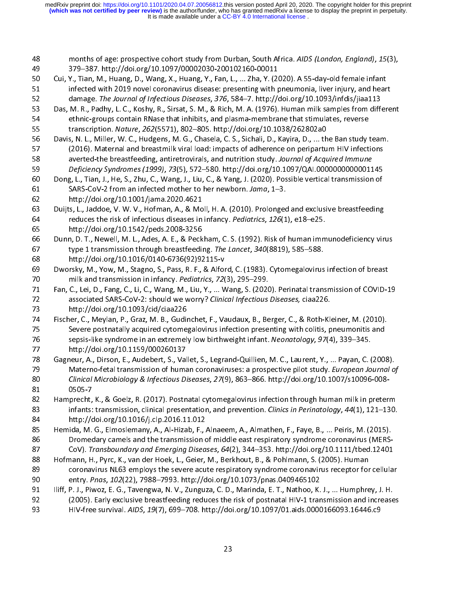$\frac{1}{2}$ months of age: prospective cohort study from Durban, South Africa. AIDS (London, England), 15(3),<br>
379–387. http://doi.org/10.1097/00002030-200102160-00011<br>
Cui, Y., Tian, M., Huang, D., Wang, X., Huang, Y., Fan, L., ... Z Cui, Y., Tian, M., Huang, D., Wang, X., Huang, Y., Fan, L., ... Zha, Y. (20<br>
infected with 2019 novel coronavirus disease: presenting with p<br>
damage. The Journal of Infectious Diseases, 376, 584–7. http://<br>
Das, M. R., Pad infected with 2019 novel coronavirus disease: presenting with pneumonia, liver injury, and hear<br>
damage. The Journal of Infectious Diseases, 376, 584–7. http://doi.org/10.1093/infdis/jiaa113<br>
Das, M. R., Padhy, L. C., Kosh damage. The Journal of Infectious Diseases, 376, 584–7. http://doi.org/10.1093/infdis/jiaa113<br>
Das, M. R., Padhy, L. C., Koshy, R., Sirsat, S. M., & Rich, M. A. (1976). Human milk samples from differe<br>
ethnic-groups contai damage. The Journal of Infectious Diseases, 376, 384–7. http://doi.org/10.1033/indis/jiaa113<br>
Das, M. R., Padhy, L. C., Koshy, R., Sirsat, S. M., & Rich, M. A. (1976). Human milk samples from differentinc-groups contain RN 54 ethnic-groups contain RNase that inhibits, and plasma-membrane that stimulates, reverse<br>55 transcription. *Nature, 262*(5571), 802–805. http://doi.org/10.1038/262802a0<br>56 Davis, N. L., Miller, W. C., Hudgens, M. G., Cha transcription. *Nature, 262*(5571), 802–805. http://doi.org/10.1038/262802a0<br>
Davis, N. L., Miller, W. C., Hudgens, M. G., Chasela, C. S., Sichali, D., Kayira, D., ... the Ban study 1<br>
(2016). Maternal and breastmilk viral Example of Muller, W. C., Hudgens, M. G., Chasela, C. S., Sichali, D., Kayira, D., ... th<br>
55 Davis, N. L., Miller, W. C., Hudgens, M. G., Chasela, C. S., Sichali, D., Kayira, D., ... th<br>
57 (2016). Maternal and breastmilk (2016). Maternal and breastmilk viral load: impacts of adherence on peripartum HIV infections<br>
space averted-the breastfeeding, antiretrovirals, and nutrition study. Journal of Acquired Immune<br>
Deficiency Syndromes (1999), 58 averted-the breastfeeding, antiretrovirals, and nutrition study. Journal of Acquired Immune<br>59 Deficiency Syndromes (1999), 73(5), 572–580. http://doi.org/10.1097/QAI.0000000000001145<br>50 Dong, L., Tian, J., He, S., Zhu, So averted-the breastreeding, antiretrovirals, and nutrition study. Journal of Acquired Immune<br>
Deficiency Syndromes (1999), 73(5), 572–580. http://doi.org/10.1097/QAI.0000000000011<br>
Dong, L., Tian, J., He, S., Zhu, C., Wa Experiency Syndromes (1999), 79(5), 372–580. http://doi.org/10.1097/QAI.00000000000001145<br>
60 Dong, L., Tian, J., He, S., Zhu, C., Wang, J., Liu, C., & Yang, J. (2020). Possible vertical transmission of<br>
64 SARS-CoV-2 from 61 SARS-CoV-2 from an infected mother to her newborn. Jama, 1–3.<br>62 http://doi.org/10.1001/jama.2020.4621<br>63 Duijts, L., Jaddoe, V. W. V., Hofman, A., & Moll, H. A. (2010). Prolonged and exclusive breastfeeding<br>64 reduces 62 http://doi.org/10.1001/jama.2020.4621<br>63 Duijts, L., Jaddoe, V. W. V., Hofman, A., & Moll, H. A. (2010). Prolongec<br>64 reduces the risk of infectious diseases in infancy. *Pediatrics*, 126(1<br>65 http://doi.org/10.1542/ped Example, Premerg, Example, Premerg, 2013<br>
63 Duijts, L., Jaddoe, V. W. V., Hofman, A., & Mo<br>
64 reduces the risk of infectious diseases in<br>
65 http://doi.org/10.1542/peds.2008-3256<br>
66 Dunn, D. T., Newell, M. L., Ades, A. Duijts, L., Jaddoe, V. W. V., Hofman, A., & Moll, H. A. (2010). Prolonged and exclusive breastfeeding<br>
reduces the risk of infectious diseases in infancy. *Pediatrics*, 126(1), e18–e25.<br>
http://doi.org/10.1542/peds.2008-32 Feddes the risk of infectious diseases in mancy. Pediatrics, 120(1), e18–e25.<br>
65 http://doi.org/10.1542/peds.2008-3256<br>
66 Dunn, D. T., Newell, M. L., Ades, A. E., & Peckham, C. S. (1992). Risk of human imm<br>
67 type 1 tra 66 Dunn, D. T., Newell, M. L., Ades, A. E., & Peck<br>67 type 1 transmission through breastfeedin<br>68 http://doi.org/10.1016/0140-6736(92)92<br>69 Dworsky, M., Yow, M., Stagno, S., Pass, R. F.,<br>70 milk and transmission in infancy type 1 transmission through breastfeeding. The Lancet, 340(8819), 585–588.<br>
http://doi.org/10.1016/0140-6736(92)92115-v<br>
Dworsky, M., Yow, M., Stagno, S., Pass, R. F., & Alford, C. (1983). Cytomegalovirus infection of brea eration of type 1 transmission through breastfeeding. The Lancet, 340(8815), 385–388.<br>
http://doi.org/10.1016/0140-6736(92)92115-v<br>
Dworsky, M., Yow, M., Stagno, S., Pass, R. F., & Alford, C. (1983). Cytomegalovirus<br>
milk Example, The Pierry Premis, School (Space 20)<br>
69 Dworsky, M., Yow, M., Stagno, S., Pass, R. F., & Alfor<br>
70 milk and transmission in infancy. *Pediatrics*, 72<br>
71 Fan, C., Lei, D., Fang, C., Li, C., Wang, M., Liu, Y., ... Fan, C., Lei, D., Fang, C., Li, C., Wang, M., Liu, Y., ... Wang, S. (2020). Perinatal transmission of COVID-19<br>
19 associated SARS-CoV-2: should we worry? *Clinical Infectious Diseases,* ciaa226.<br>
19 http://doi.org/10.1093 Fan, C., Lei, D., Fang, C., Li, C., Wang, M., Liu, Y., ... Wang, S. (2020<br>
Then, C., Lei, D., Fang, C., Li, C., Wang, M., Liu, Y., ... Wang, S. (2020<br>
The associated SARS-CoV-2: should we worry? *Clinical Infectious*<br>
http 11 Fan, C., Ley, Ley, Ley, C., C., Ley, Leving, P., Leving, P., Leving, P., Leving, P., Leving, D., Leving, D.<br>
12 associated SARS-CoV-2: should we worry? Clinical Infectious Diseases, ciaa226.<br>
13 http://doi.org/10.1093/c associated SARS-Cov-2: should we worry? Clinical Infectious Diseases, ciaa220.<br>
173 http://doi.org/10.1093/cid/ciaa226<br>
174 Fischer, C., Meylan, P., Graz, M. B., Gudinchet, F., Vaudaux, B., Berger, C., & Roth-Klis<br>
175 Sev 74 Fischer, C., Meylan, P., Graz, M. B., Gudir<br>75 Severe postnatally acquired cytome,<br>77 http://doi.org/10.1159/000260137<br>78 Gagneur, A., Dirson, E., Audebert, S., Vall<br>79 Materno-fetal transmission of huma<br>80 *Clinical Mi* Severe postnatally acquired cytomegalovirus infection presenting with colitis, pneumonitis and<br>
sepsis-like syndrome in an extremely low birthweight infant. Neonatology, 97(4), 339–345.<br>
http://doi.org/10.1159/000260137<br>
G For the syndrome in an extremely low birthweight infant. Neonatology, 97(4), 339–345.<br>
177 Sagneur, A., Dirson, E., Audebert, S., Vallet, S., Legrand-Quillien, M. C., Laurent, Y., ... Payan, C. (2008)<br>
179 Materno-fetal tr For Sepsis-like syndrome in an extremely low birthweight infant. Neonatology, 97(4), 339–345.<br>
176 Sagneur, A., Dirson, E., Audebert, S., Vallet, S., Legrand-Quillien, M. C., Laurent, Y., ... Payan, C. (<br>
176 Materno-fetal 78 Gagneur, A., Dirson, E., Audebert, S., Val<br>79 Materno-fetal transmission of huma<br>80 *Clinical Microbiology & Infectious Di*<br>81 0505-7<br>82 Hamprecht, K., & Goelz, R. (2017). Postn<br>83 infants: transmission, clinical preser Materno-fetal transmission of human coronaviruses: a prospective pilot study. *European Journal of Clinical Microbiology & Infectious Diseases, 27(9), 863–866. http://doi.org/10.1007/s10096-008-<br>81 Gagnerich, K., & Goelz,* 79 Materio-fetal transmission of human coronaviruses: a prospective pilot study. European Journal of<br>
29 Clinical Microbiology & Infectious Diseases, 27(9), 863–866. http://doi.org/10.1007/s10096-008-<br>
29 Hamprecht, K., & emical Microbiology & Infectious Diseases, 27(9), 863–866. http://doi.org/10.1007/s10096-866<br>81 Clinical Microbiology & Infectious Diseases, 27(9), 863–866. http://doi.org/10.1007/s10096-008-<br>82 Hamprecht, K., & Goelz, R. 82 Hamprecht,<br>83 infants:<br>84 http://c<br>85 Hemida, M.<br>86 Dromec<br>87 CoV). Ti infants: transmission, clinical presentation, and prevention. *Clinics in Perinatology, 44*(1), 121–130.<br>
84 http://doi.org/10.1016/j.clp.2016.11.012<br>
85 Hemida, M. G., Elmoslemany, A., Al-Hizab, F., Alnaeem, A., Almathen, mains: transmission, clinical presentation, and prevention. clinics in Fermatology, 44(1), 121–130.<br>
84 http://doi.org/10.1016/j.clp.2016.11.012<br>
85 Hemida, M. G., Elmoslemany, A., Al-Hizab, F., Alnaeem, A., Almathen, F., 84 http://doi.org/10.1016/j.clp.2016.11.012<br>85 Hemida, M. G., Elmoslemany, A., Al-Hizab, F., Alnaeem, A., Almathen, F., Faye, B., ... Peiris, M. (2015).<br>86 Dromedary camels and the transmission of middle east respiratory s Behavior of middle east respiratory syndrome coronavirus (MERS-<br>
85 Dromedary camels and the transmission of middle east respiratory syndrome coronavirus (MERS-<br>
87 CoV). Transboundary and Emerging Diseases, 64(2), 344–353 93 HIV-free survival. AIDS, 19(7), 699-708. http://doi.org/10.1097/01.aids.0000166093.16446.c9 88 Hofmann, H., Pyrc, K., van der Hoek, L., Geier, M., Berkhout, B., & Pohlmann, S. (2005). Human<br>89 coronavirus NL63 employs the severe acute respiratory syndrome coronavirus receptor for cellular<br>89 employs the severe ac coronavirus NL63 employs the severe acute respiratory syndrome coronavirus receptor for<br>
90 entry. *Pnas, 102*(22), 7988–7993. http://doi.org/10.1073/pnas.0409465102<br>
91 liff, P. J., Piwoz, E. G., Tavengwa, N. V., Zunguza, entry. *Pnas, 102*(22), 7988–7993. http://doi.org/10.1073/pnas.0409465102<br>
191 liff, P. J., Piwoz, E. G., Tavengwa, N. V., Zunguza, C. D., Marinda, E. T., Nathoo, K. J., ... Humphrey, J. H.<br>
192 (2005). Early exclusive bre 90 entry. *Finas, 102*(22), 7988–7993. http://doi.org/10.1073/phas.0409469102<br>91 lliff, P. J., Piwoz, E. G., Tavengwa, N. V., Zunguza, C. D., Marinda, E. T., Nathoo, K.<br>92 (2005). Early exclusive breastfeeding reduces the 92 (2005). Early exclusive breastfeeding reduces the risk of postnatal HIV-1 transmission and increase<br>
HIV-free survival. AIDS, 19(7), 699–708. http://doi.org/10.1097/01.aids.0000166093.16446.c9<br>
23 93 HIV-free survival. AIDS, 19(7), 699–708. http://doi.org/10.1097/01.aids.0000166093.16446.c9<br>23 93 HIV-free survival. AIDS, 19(7), 699–708. http://doi.org/10.1097/01.aids.0000166093.16446.c9<br>23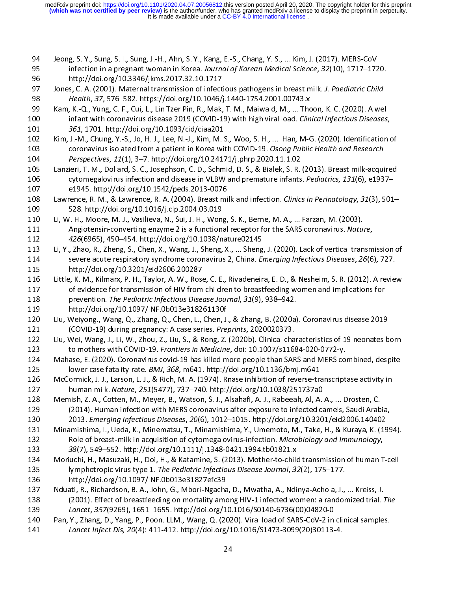- 
- l<br>J
- 
- 94 Jeong, S. Y., Sung, S. I., Sung, J.-H., Ahn, S. Y., Kang, E.-S., Chang, Y. S., ... Kim, J. (2017). MERS-CoV<br>95 infection in a pregnant woman in Korea. Journal of Korean Medical Science, 32(10), 1717–1720.<br>81 http://doi. 99 Infection in a pregnant woman in Korea. Journal by Roream Medical Science, 32(10), 1717–1720.<br>
95 http://doi.org/10.3346/jkms.2017.32.10.1717<br>
97 Jones, C. A. (2001). Maternal transmission of infectious pathogens in bre 97 Jones, C. A. (2001). Maternal transmission of infect<br>98 *Health, 37, 576–582. https://doi.org/10.1046/j*<br>99 Kam, K.-Q., Yung, C. F., Cui, L., Lin Tzer Pin, R., Mak,<br>00 infant with coronavirus disease 2019 (COVID-1<br>961,
- 98 Health, 37, 576–582. https://doi.org/10.1046/j.1440-1754.2001.00743.x<br>
89 Kam, K.-Q., Yung, C. F., Cui, L., Lin Tzer Pin, R., Mak, T. M., Maiwald, M., ... Thoon, K. C. (2020). A we<br>
80 Infant with coronavirus disease 20 Freahth, 37, 376–582. https://doi.org/10.10407j.1440-1754.2001.00743.x<br>
89 Kam, K.-Q., Yung, C. F., Cui, L., Lin Tzer Pin, R., Mak, T. M., Maiwald, M., ... The<br>
101 and the state of the state and the state and the state an 99 Infant with coronavirus disease 2019 (COVID-19) with high viral load. Clinical Infectious Diseases,<br>
99 Sentim, J.-M., Chung, Y.-S., Jo, H. J., Lee, N.-J., Kim, M. S., Woo, S. H., ... Han, M-G. (2020). Identification<br>
1 101 infant with coronavirus disease 2019 (COVID-19) with high viral load. Clinical Injectious Diseases,<br>
101 infering, Y.-S., Jo, H. J., Lee, N.-J., Kim, M. S., Woo, S. H., ... Han, M-G. (2020). Identification coronavirus 101 301, 1701. http://doi.org/10.1093/cid/ciaa201<br>102 Kim, J.-M., Chung, Y.-S., Jo, H. J., Lee, N.-J., Kim, M. S<br>103 coronavirus isolated from a patient in Korea wit<br>104 *Perspectives*, 11(1), 3–7. http://doi.org/10.2417<br>1
- coronavirus isolated from a patient in Korea with COVID-19. Osong Public Health and Research<br>
104 Perspectives, 11(1), 3–7. http://doi.org/10.24171/j.phrp.2020.11.1.02<br>
105 Lanzieri, T. M., Dollard, S. C., Josephson, C. D. Los coronavirus isolated from a patient in Korea with COVID-19. Osong Public Health and Research<br>
104 *Perspectives, 11*(1), 3–7. http://doi.org/10.24171/j.phrp.2020.11.1.02<br>
105 Lanzieri, T. M., Dollard, S. C., Josephson, 104 Perspectives, 11(1), 3–7. http://doi.org/10.24171/j.phrp.2020.11.1.02<br>
105 Lanzieri, T. M., Dollard, S. C., Josephson, C. D., Schmid, D. S., & Bialek, S. R.<br>
106 cytomegalovirus infection and disease in VLBW and premat
- 
- 106 cytomegalovirus infection and disease in VLBW and premature infants. Pediatrics, 131(6), e1937–<br>
107 e1945. http://doi.org/10.1542/peds.2013-0076<br>
108 Lawrence, R. M., & Lawrence, R. A. (2004). Breast milk and infectio 106 cytomegalovirus infection and disease in VEDW and premature infants. Pediatrics, 131(0), e1937–<br>
107 c1945. http://doi.org/10.1542/peds.2013-0076<br>
108 Lawrence, R. M., & Lawrence, R. A. (2004). Breast milk and infectio 108 Lawrence, R. M., & Lawrence, R. A. (2004). Breast mi<br>109 528. http://doi.org/10.1016/j.clp.2004.03.019<br>110 Li, W. H., Moore, M. J., Vasilieva, N., Sui, J. H., Wong,<br>111 Angiotensin-converting enzyme 2 is a functional<br>1
- 108 Lawrence, N. M., & Lawrence, R. A. (2004). Breast milk and infection. Clinics in Perinatology, 31(3), 301–<br>109 Li, W. H., Moore, M. J., Vasilieva, N., Sui, J. H., Wong, S. K., Berne, M. A., ... Farzan, M. (2003).<br>111 A 110 Li, W. H., Moore, M. J., Vasilieva, N., Sui, J. H., Wong<br>111 Angiotensin-converting enzyme 2 is a functional<br>112 426(6965), 450–454. http://doi.org/10.1038/n<br>113 Li, Y., Zhao, R., Zheng, S., Chen, X., Wang, J., Sheng,<br> 111 Angiotensin-converting enzyme 2 is a functional receptor for the SARS coronavirus. Natural 426(6965), 450–454. http://doi.org/10.1038/nature02145<br>113 Li, Y., Zhao, R., Zheng, S., Chen, X., Wang, J., Sheng, X., ... Shen 112 Anglocensin-converting enzyme 2 is a functional receptor for the SARS coronavirus. Mature,<br>
112 Li, Y., Zhao, R., Zheng, S., Chen, X., Wang, J., Sheng, X., ... Sheng, J. (2020). Lack of vertical transm<br>
114 severe acut 112 426(6965), 450–454. http://doi.org/10.1036/nature02145<br>
113 Li, Y., Zhao, R., Zheng, S., Chen, X., Wang, J., Sheng, X., ... Sheng<br>
114 severe acute respiratory syndrome coronavirus 2, China. *El*<br>
115 http://doi.org/10
- 114 Severe acute respiratory syndrome coronavirus 2, China. *Emerging Infectious Diseases, 26*(6), 727.<br>
115 Little, K. M., Kilmarx, P. H., Taylor, A. W., Rose, C. E., Rivadeneira, E. D., & Nesheim, S. R. (2012). A review<br> 114 Severe acute respiratory syndrome coronavirus 2, China. *Emerging injectious Diseases, 20(0), 727.*<br>
115 little, K. M., Kilmarx, P. H., Taylor, A. W., Rose, C. E., Rivadeneira, E. D., & Nesheim, S. R. (2012). A revie<br> 116 Little, K. M., Kilmarx, P. H., Taylor, A. W., Rose<br>117 of evidence for transmission of HIV from<br>118 prevention. *The Pediatric Infectious Dise*<br>119 http://doi.org/10.1097/INF.0b013e31824<br>120 Liu, Weiyong., Wang, Q., Zh 117 of evidence for transmission of HIV from children to breastfeeding women and implications for<br>
116 prevention. The Pediatric Infectious Disease Journal, 31(9), 938–942.<br>
119 little://doi.org/10.1097/INF.0b013e318261130
- 
- 
- 118 prevention. The Pediatric Infectious Disease Journal, 31(9), 938–942.<br>
119 http://doi.org/10.1097/INF.0b013e318261130f<br>
120 Liu, Weiyong., Wang, Q., Zhang, Q., Chen, L., Chen, J., & Zhang, B. (2020a). Coronavirus disea 119 prevention. The Pediatric Infectious Disease Journal, 31(3), 338–342.<br>
119 http://doi.org/10.1097/INF.0b013e318261130f<br>
120 Liu, Weiyong., Wang, Q., Zhang, Q., Chen, L., Chen, J., & Zhang, B. (2020a)<br>
121 (COVID-19) du
- 120 Liu, Weiyong., Wang, Q., Zhang, Q., Chen, L., Chen, J.<br>121 (COVID-19) during pregnancy: A case series. Pre,<br>122 Liu, Wei, Wang, J., Li, W., Zhou, Z., Liu, S., & Rong, Z.<br>123 to mothers with COVID-19. Frontiers in Medic 120 Liu, Weiyong., Wang, Q., Zhang, Q., Chen, L., Chen, J., & Zhang, B. (2020a). Coronavirus disease 2019<br>
121 (COVID-19) during pregnancy: A case series. Preprints, 2020020373.<br>
122 Liu, Wei, Wang, J., Li, W., Zhou, Z., L 121 (COVID-19) during pregnancy: A case series. Preprints, 2020020373.<br>
122 Liu, Wei, Wang, J., Li, W., Zhou, Z., Liu, S., & Rong, Z. (2020b). Clinical cha<br>
123 to mothers with COVID-19. Frontiers in Medicine, doi: 10.1007
- Mahase, E. (2020). Coronavirus covid-19 has killed more people than SARS and MERS combined, despite<br>
125 lower case fatality rate. *BMJ*, 368, m641. http://doi.org/10.1136/bmj.m641<br>
126 McCormick, J. J., Larson, L. J., & R
- 123 to mothers with COVID-19. Frontiers in Medicine, doi: 10.1007/s11004-020-0772-y.<br>
124 Mahase, E. (2020). Coronavirus covid-19 has killed more people than SARS and MERS con<br>
125 lower case fatality rate. *BMJ*, 368, m64 125 Iower case fatality rate. *BMJ, 368, m641. http://doi.org/10.1136/bmj.m641*<br>126 McCormick, J. J., Larson, L. J., & Rich, M. A. (1974). Rnase inhibition of reverse-transcriptase activity in<br>127 Ioman milk. *Nature, 251* 125 lower case fatally fate. BMJ, 368, m641. http://doi.org/10.1136/bmj.m641<br>126 McCormick, J. J., Larson, L. J., & Rich, M. A. (1974). Rnase inhibition of reverse-tra<br>127 human milk. Nature, 251(5477), 737–740. http://doi 127 human milk. *Nature, 251*(5477), 737–740. http://doi.org/10.1038/251737a0<br>
128 Memish, Z. A., Cotten, M., Meyer, B., Watson, S. J., Alsahafi, A. J., Rabeeah, Al, A. A., ... Drosten, C.<br>
129 (2014). Human infection with mann milk. Nature, 251(5477), 737–740. http://doi.org/10.1038/251737a0<br>
128 Memish, Z. A., Cotten, M., Meyer, B., Watson, S. J., Alsahafi, A. J., Rabeeah, Al, A.<br>
129 (2014). Human infection with MERS coronavirus after exp
- 
- 
- (2014). Human infection with MERS coronavirus after exposure to infected camels, Saudi Arab<br>
130 2013. *Emerging Infectious Diseases, 20*(6), 1012–1015. http://doi.org/10.3201/eid2006.14040<br>
131 Minamishima, I., Ueda, K., 2013. Emerging Infectious Diseases, 20(6), 1012–1015. http://doi.org/10.3201/eid2006.140402<br>
131 Minamishima, I., Ueda, K., Minematsu, T., Minamishima, Y., Umemoto, M., Take, H., & Kuraya, K. (199<br>
132 Role of breast-milk 2013. Emerging infectious Diseases, 20(0), 1012–1013. http://doi.org/10.3201/eid2000.140402<br>
131 Minamishima, I., Ueda, K., Minematsu, T., Minamishima, Y., Umemoto, M., Take, H., & Kuraya, K. (19<br>
132 Role of breast-milk i 132 Role of breast-milk in acquisition of cytomegalovirus-infection. *Microbiology and Immunology,*<br>
133 Role of breast-milk in acquisition of cytomegalovirus-infection. *Microbiology and Immunology,*<br>
133 38(7), 549–552. 132 Role of breast-milk in acquisition of cytomegalovirus-infection. Microbiology and Immunology,<br>
133 38(7), 549–552. http://doi.org/10.1111/j.1348-0421.1994.tb01821.x<br>
134 Moriuchi, H., Masuzaki, H., Doi, H., & Katamine, 133 38(7), 549–552. http://doi.org/10.1111/j.1348-0421.1554.tb01021.x<br>
134 Moriuchi, H., Masuzaki, H., Doi, H., & Katamine, S. (2013). Mother-to-child<br>
135 Iymphotropic virus type 1. The Pediatric Infectious Disease Journa 135 Iymphotropic virus type 1. The Pediatric Infectious Disease Journal, 32(2), 175–177.<br>
136 http://doi.org/10.1097/INF.0b013e31827efc39<br>
137 Nduati, R., Richardson, B. A., John, G., Mbori-Ngacha, D., Mwatha, A., Ndinya-A
- 
- 
- 135 Iymphotropic virus type 1. The Pediatric Infectious Disease Journal, 32(2), 175–177.<br>
136 http://doi.org/10.1097/INF.0b013e31827efc39<br>
137 Nduati, R., Richardson, B. A., John, G., Mbori-Ngacha, D., Mwatha, A., Ndinya-A 137 Mduati, R., Richardson, B. A., John, G., Mbori-Ngacha<br>138 (2001). Effect of breastfeeding on mortality ame<br>139 Lancet, 357(9269), 1651–1655. http://doi.org/1<br>140 Pan, Y., Zhang, D., Yang, P., Poon. LLM., Wang, Q. (20<br>1 138 (2001). Effect of breastfeeding on mortality among HIV-1 infected women: a randomized trial. 1<br>
139 *Lancet, 357*(9269), 1651–1655. http://doi.org/10.1016/S0140-6736(00)04820-0<br>
140 Pan, Y., Zhang, D., Yang, P., Poon. 139 (2001). Effect of breastreeding on mortality among HIV-1 infected women: a randomized trial. The<br>
139 Lancet, 357(9269), 1651–1655. http://doi.org/10.1016/S0140-6736(00)04820-0<br>
140 Pan, Y., Zhang, D., Yang, P., Poon. 2139 Lancet, 357(5269), 1651–1655. http://doi.org/10.1016/S0140-0736(00)04820-0<br>
140 Pan, Y., Zhang, D., Yang, P., Poon. LLM., Wang, Q. (2020). Viral load of SARS-CoV-2 in<br>
141 Lancet Infect Dis, 20(4): 411-412. http://do 141 *Lancet Infect Dis, 20*(4): 411-412. http://doi.org/10.1016/S1473-3099(20)30113-4.<br>24 141 Lancet Infect Dis, 20(4): 411-412. http://doi.org/10.1010/S1473-3099(20)30113-4.<br>24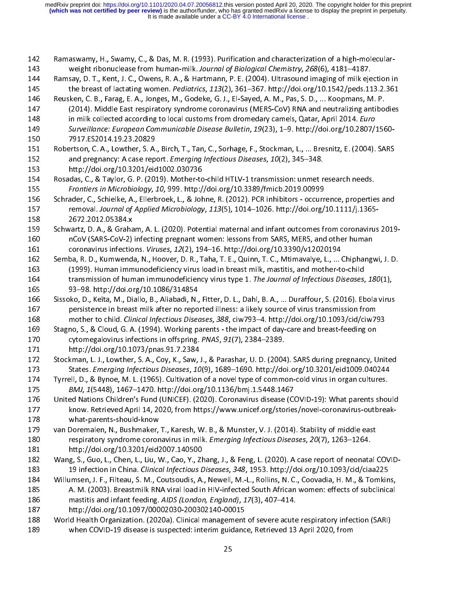|<br>|<br>| 142 Ramaswamy, H., Swamy, C., & Das, M. R. (1993). Purification and characterization of a high-molecularweight ribonuclease from human-milk. Journal of Biological Chemistry, 268(6), 4181–4187.<br>
144 Ramsay, D. T., Kent, J. C., Owens, R. A., & Hartmann, P. E. (2004). Ultrasound imaging of milk ejection in<br>
145 the breast of la the breast of lactating women. *Pediatrics*, 113(2), 361–367. http://doi.org/10.1542/peds.113.2.361<br>
146 Reusken, C. B., Farag, E. A., Jonges, M., Godeke, G. J., El-Sayed, A. M., Pas, S. D., ... Koopmans, M. P.<br>
147 (2014) 145 Reusken, C. B., Farag, E. A., Jonges, M., Godeke, G. J., El-Sayed, A. M., Pas, S. D., ... Koopmans, M. P.<br>
147 (2014). Middle East respiratory syndrome coronavirus (MERS-CoV) RNA and neutralizing antibodies<br>
in milk co 148 in milk collected according to local customs from dromedary camels, Qatar, April 2014. *Euro*<br>
149 Surveillance: *European Communicable Disease Bulletin*, 19(23), 1–9. http://doi.org/10.2807/1560-<br>
150 7917.ES2014.19.2 148 In mink collected according to local customs from dromedary camels, Qatar, April 2014. Euro<br>
149 Surveillance: European Communicable Disease Bulletin, 19(23), 1–9. http://doi.org/10.2807/<br>
150 Pobertson, C. A., Lowther 149 Surveillance: European Communicable Disease Bulletin, 19(23), 1–9. http://doi.org/10.2807/1560-149 Survemance: European Communicable Disease Bunchin, 19(29), 1–9. http://doi.org/10.2807/1560<br>
150 7917.ES2014.19.23.20829<br>
151 Robertson, C. A., Lowther, S. A., Birch, T., Tan, C., Sorhage, F., Stockman, L., ... Bresnit 151 Robertson, C. A., Lowther, S. A.<br>152 and pregnancy: A case repo<br>153 http://doi.org/10.3201/eid<br>154 Rosadas, C., & Taylor, G. P. (201<br>155 *Frontiers in Microbiology, 1*<br>156 Schrader, C., Schielke, A., Ellerb<br>157 removal 151 Robertson, C. A., Lowther, S. A., Birch, T., Tan, C., Sorhage, F., Stockman, L., ... Bresnitz, E. (2004). SARS<br>152 and pregnancy: A case report. *Emerging Infectious Diseases*, 10(2), 345–348.<br>153 http://doi.org/10.320 and pregnancy: A case report. Emerging injectious Diseases, 10(2), 345–346.<br>
153 http://doi.org/10.3201/eid1002.030736<br>
154 Rosadas, C., & Taylor, G. P. (2019). Mother-to-child HTLV-1 transmission: unmet r<br>
155 Frontiers i 154 Rosadas, C., & Taylor, G. P. (2019). Mother-to<br>155 *Frontiers in Microbiology, 10, 999.* http:/<br>156 Schrader, C., Schielke, A., Ellerbroek, L., & John<br>157 removal. Journal of Applied Microbiology<br>158 2672.2012.05384.x<br> Rosadas, C., & Taylor, G. P. (2019). Mother-to-child HTLV-1 transmission: unmet research needs.<br>
155 Frontiers in Microbiology, 10, 999. http://doi.org/10.3389/fmicb.2019.00999<br>
156 Schrader, C., Schielke, A., Ellerbroek, 155 Frontiers in Microbiology, 10, 999. http://doi.org/10.3389/Hilles.2019.00999<br>156 Schrader, C., Schielke, A., Ellerbroek, L., & Johne, R. (2012). PCR inhibitors - occurr<br>157 removal. Journal of Applied Microbiology, 113 157 removal. Journal of Applied Microbiology, 113(5), 1014–1026. http://doi.org/10.1111/j.1365-<br>158 2672.2012.05384.x<br>159 Schwartz, D. A., & Graham, A. L. (2020). Potential maternal and infant outcomes from coronavirus<br>160 157 removal. Journal of Applied Microbiology, 115(5), 1014 1020. http://doi.org/10.1111/j.1365<br>
158 Schwartz, D. A., & Graham, A. L. (2020). Potential maternal and infant outcomes from coronavirus<br>
160 nCoV (SARS-CoV-2) in 159 Schwartz, D. A., & Graha<br>160 nCoV (SARS-CoV-2)<br>161 coronavirus infectio<br>162 Semba, R. D., Kumwend:<br>163 (1999). Human imm<br>164 transmission of hun<br>165 93–98. http://doi.or 159 Schwartz, D. A., & Graham, A. L. (2020). Potential maternal and infant outcomes from coronavirus 2019-<br>160 nCoV (SARS-CoV-2) infecting pregnant women: lessons from SARS, MERS, and other human<br>161 coronavirus infections nCoV (SARS-CoV-2) infecting pregnant women: lessons from SARS, MERS, and other human<br>
161 coronavirus infections. *Viruses, 12*(2), 194–16. http://doi.org/10.3390/v12020194<br>
162 Semba, R. D., Kumwenda, N., Hoover, D. R., T coronavirus infections. Viruses, 12(2), 194–16. http://doi.org/10.3390/v12020194<br>
162 Semba, R. D., Kumwenda, N., Hoover, D. R., Taha, T. E., Quinn, T. C., Mtimavalye, L., ... Chiphang<br>
163 (1999). Human immunodeficiency v 162 Semba, R. D., Kumwenda, N., Hoover, D. R., Taha, T. E., Quinn, T. C., Mtimavalye, L., ... (<br>163 (1999). Human immunodeficiency virus load in breast milk, mastitis, and mother-to<br>164 transmission of human immunodeficien 163 (1999). Human immunodeficiency virus load in breast milk, mastitis, and mother-to-child<br>
164 transmission of human immunodeficiency virus type 1. The Journal of Infectious Diseases, 180(1),<br>
165 93–98. http://doi.org/1 164 transmission of human immunodeficiency virus type 1. The Journal of Infectious Diseases,<br>
165 93–98. http://doi.org/10.1086/314854<br>
166 Sissoko, D., Keïta, M., Diallo, B., Aliabadi, N., Fitter, D. L., Dahl, B. A., ... 164 transmission of human immunodencency virus type 1. The Journal of Infectious Diseases, 180(1),<br>
165 Sisoko, D., Keïta, M., Diallo, B., Aliabadi, N., Fitter, D. L., Dahl, B. A., ... Duraffour, S. (2016). Ebola virus<br>
16 166 Sissoko, D., Keïta, M., Diallo, B., Aliabadi, N.,<br>167 persistence in breast milk after no repo<br>168 mother to child. Clinical Infectious Disea<br>169 Stagno, S., & Cloud, G. A. (1994). Working pa<br>170 cytomegalovirus infect persistence in breast milk after no reported illness: a likely source of virus transmission from<br>168 mother to child. *Clinical Infectious Diseases, 388*, ciw793–4. http://doi.org/10.1093/cid/ciw793<br>169 Stagno, S., & Cloud mother to child. Clinical Infectious Diseases, 388, ciw793-4. http://doi.org/10.1093/cid/ciw7<br>
169 Stagno, S., & Cloud, G. A. (1994). Working parents - the impact of day-care and breast-feeding on<br>
170 cytomegalovirus infe 168 Stagno, S., & Cloud, G. A. (1994). Working parents - the impact of day-care and breast-feeding on<br>
170 cytomegalovirus infections in offspring. PNAS, 91(7), 2384–2389.<br>
171 http://doi.org/10.1073/pnas.91.7.2384<br>
172 St 170 cytomegalovirus infections in offspring. PNAS, 91(7), 2384–2389.<br>
171 the://doi.org/10.1073/pnas.91.7.2384<br>
172 Stackman, L. J., Lowther, S. A., Coy, K., Saw, J., & Parashar, U. D. (2004). SARS during pregnancy, U<br>
173 170 cytomegalovirus infections in orispinig. PMAS, 31(7), 2364–2389.<br>
171 http://doi.org/10.1073/pnas.91.7.2384<br>
172 Stockman, L. J., Lowther, S. A., Coy, K., Saw, J., & Parashar, U. D. (2004<br>
173 States. Emerging Infectio 172 Stockman, L. J., Lowther, S. A., Coy, K., Saw,<br>173 States. *Emerging Infectious Diseases, 10*<br>174 Tyrrell, D., & Bynoe, M. L. (1965). Cultivation<br>175 *BMJ, 1*(5448), 1467–1470. http://doi.org<br>176 United Nations Childre States. *Emerging Infectious Diseases, 10*(9), 1689–1690. http://doi.org/10.3201/eid1009.040244<br>174 Tyrrell, D., & Bynoe, M. L. (1965). Cultivation of a novel type of common-cold virus in organ cultures.<br>175 BMJ, 1(5448), 3173 States. Emerging Infectious Diseases, 10(9), 1009–1090. http://doi.org/10.3201/eid1009.040244<br>174 Tyrrell, D., & Bynoe, M. L. (1965). Cultivation of a novel type of common-cold virus in organ cultures.<br>175 BMJ, 1(5448 175 BMJ, 1(5448), 1467–1470. http://doi.org/10.1136/bmj.1.5448.1467<br>
176 United Nations Children's Fund (UNICEF). (2020). Coronavirus disease (COVID-19): What parents shot<br>
177 know. Retrieved April 14, 2020, from https:// MD, 1(5448), 1467–1470. http://doi.org/10.1136/bmj.1.5448.1467<br>176 United Nations Children's Fund (UNICEF). (2020). Coronavirus disease (CO<br>177 know. Retrieved April 14, 2020, from https://www.unicef.org/stories<br>179 van Do know. Retrieved April 14, 2020, from https://www.unicef.org/stories/novel-coronavirus-outbreak-<br>178 van Doremalen, N., Bushmaker, T., Karesh, W. B., & Munster, V. J. (2014). Stability of middle east<br>180 respiratory syndrom 179 van Doremalen, N., Bushmaker,<br>180 respiratory syndrome coron<br>181 http://doi.org/10.3201/eid2<br>182 Wang, S., Guo, L., Chen, L., Liu, V<br>183 19 infection in China. *Clinicc*<br>184 Willumsen, J. F., Filteau, S. M., C<br>185 A. M 180 respiratory syndrome coronavirus in milk. Emerging Infectious Diseases, 20(7), 1263–1264.<br>
181 http://doi.org/10.3201/eid2007.140500<br>
182 Wang, S., Guo, L., Chen, L., Liu, W., Cao, Y., Zhang, J., & Feng, L. (2020). A c 181 http://doi.org/10.3201/eid2007.140500<br>182 Wang, S., Guo, L., Chen, L., Liu, W., Cao, Y., Zhang, J., & Feng, L. (2020). A case report of neonata<br>183 19 infection in China. *Clinical Infectious Diseases*, 348, 1953. http Wang, S., Guo, L., Chen, L., Liu, W., Cao, Y., Zhen, 19 infection in China. Clinical Infectious L<br>184 Millumsen, J. F., Filteau, S. M., Coutsoudis, A.<br>185 A. M. (2003). Breastmilk RNA viral load in<br>186 mastitis and infant 177 Know. Retrieved April 2020, From https://www.unicef.org/stories/novel-coronavirus-off-coronavirus-off-coronavirus-off-coronavirus-off-coronavirus-off-coronavirus-off-coronavirus-off-coronavirus-off-coronavirus-off-coro 185 A. M. (2003). Breastmilk RNA viral load in HIV-infected South African women: effects of subclinical<br>
186 mastitis and infant feeding. AIDS (London, England), 17(3), 407–414.<br>
187 http://doi.org/10.1097/00002030-2003021 mastitis and infant feeding. AIDS (London, England), 17(3), 407–414.<br>
187 http://doi.org/10.1097/00002030-200302140-00015<br>
188 World Health Organization. (2020a). Clinical management of severe acute respiratory infection ( 187 mastitis and infant feeding. AIDS (London, England), 17(3), 407–414.<br>187 http://doi.org/10.1097/00002030-200302140-00015<br>188 World Health Organization. (2020a). Clinical management of severe acute<br>when COVID-19 disease 188 World Health Organization. (2020a). Clinical management<br>189 when COVID-19 disease is suspected: interim guidanc<br>25 189 when COVID-19 disease is suspected: interim guidance, Retrieved 13 April 2020, from<br>25 189 when COVID-19 disease is suspected: interim guidance, Retrieved 13 April 2020, from 189 when Covid-19 when Covid-19 disease is supported: interim guidance, Retrieved 13 April 2020, from<br>25